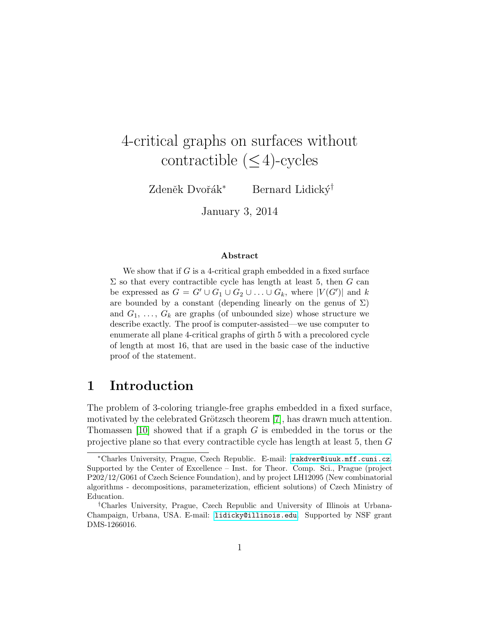# 4-critical graphs on surfaces without contractible  $(\leq 4)$ -cycles

Zdeněk Dvořák<sup>∗</sup> Bernard Lidický<sup>†</sup>

January 3, 2014

#### Abstract

We show that if  $G$  is a 4-critical graph embedded in a fixed surface  $\Sigma$  so that every contractible cycle has length at least 5, then  $G$  can be expressed as  $G = G' \cup G_1 \cup G_2 \cup \ldots \cup G_k$ , where  $|V(G')|$  and k are bounded by a constant (depending linearly on the genus of  $\Sigma$ ) and  $G_1, \ldots, G_k$  are graphs (of unbounded size) whose structure we describe exactly. The proof is computer-assisted—we use computer to enumerate all plane 4-critical graphs of girth 5 with a precolored cycle of length at most 16, that are used in the basic case of the inductive proof of the statement.

## 1 Introduction

The problem of 3-coloring triangle-free graphs embedded in a fixed surface, motivated by the celebrated Grötzsch theorem [\[7\]](#page-50-0), has drawn much attention. Thomassen [\[10\]](#page-51-0) showed that if a graph G is embedded in the torus or the projective plane so that every contractible cycle has length at least 5, then G

<sup>∗</sup>Charles University, Prague, Czech Republic. E-mail: [rakdver@iuuk.mff.cuni.cz](mailto:rakdver@iuuk.mff.cuni.cz). Supported by the Center of Excellence – Inst. for Theor. Comp. Sci., Prague (project P202/12/G061 of Czech Science Foundation), and by project LH12095 (New combinatorial algorithms - decompositions, parameterization, efficient solutions) of Czech Ministry of Education.

<sup>†</sup>Charles University, Prague, Czech Republic and University of Illinois at Urbana-Champaign, Urbana, USA. E-mail: [lidicky@illinois.edu](mailto:lidicky@illinois.edu). Supported by NSF grant DMS-1266016.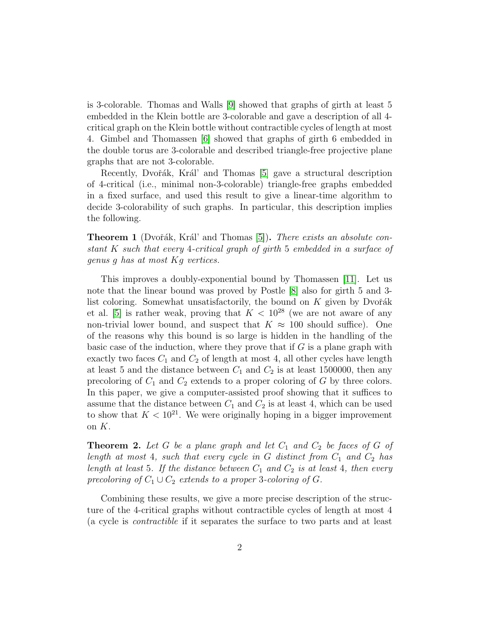is 3-colorable. Thomas and Walls [\[9\]](#page-51-1) showed that graphs of girth at least 5 embedded in the Klein bottle are 3-colorable and gave a description of all 4 critical graph on the Klein bottle without contractible cycles of length at most 4. Gimbel and Thomassen [\[6\]](#page-50-1) showed that graphs of girth 6 embedded in the double torus are 3-colorable and described triangle-free projective plane graphs that are not 3-colorable.

Recently, Dvořák, Král' and Thomas [\[5\]](#page-50-2) gave a structural description of 4-critical (i.e., minimal non-3-colorable) triangle-free graphs embedded in a fixed surface, and used this result to give a linear-time algorithm to decide 3-colorability of such graphs. In particular, this description implies the following.

<span id="page-1-0"></span>**Theorem 1** (Dvořák, Král' and Thomas  $[5]$ ). There exists an absolute constant K such that every 4-critical graph of girth 5 embedded in a surface of genus g has at most Kg vertices.

This improves a doubly-exponential bound by Thomassen [\[11\]](#page-51-2). Let us note that the linear bound was proved by Postle [\[8\]](#page-51-3) also for girth 5 and 3 list coloring. Somewhat unsatisfactorily, the bound on  $K$  given by Dvořák et al. [\[5\]](#page-50-2) is rather weak, proving that  $K < 10^{28}$  (we are not aware of any non-trivial lower bound, and suspect that  $K \approx 100$  should suffice). One of the reasons why this bound is so large is hidden in the handling of the basic case of the induction, where they prove that if  $G$  is a plane graph with exactly two faces  $C_1$  and  $C_2$  of length at most 4, all other cycles have length at least 5 and the distance between  $C_1$  and  $C_2$  is at least 1500000, then any precoloring of  $C_1$  and  $C_2$  extends to a proper coloring of G by three colors. In this paper, we give a computer-assisted proof showing that it suffices to assume that the distance between  $C_1$  and  $C_2$  is at least 4, which can be used to show that  $K < 10^{21}$ . We were originally hoping in a bigger improvement on K.

<span id="page-1-1"></span>**Theorem 2.** Let G be a plane graph and let  $C_1$  and  $C_2$  be faces of G of length at most 4, such that every cycle in G distinct from  $C_1$  and  $C_2$  has length at least 5. If the distance between  $C_1$  and  $C_2$  is at least 4, then every precoloring of  $C_1 \cup C_2$  extends to a proper 3-coloring of G.

Combining these results, we give a more precise description of the structure of the 4-critical graphs without contractible cycles of length at most 4 (a cycle is contractible if it separates the surface to two parts and at least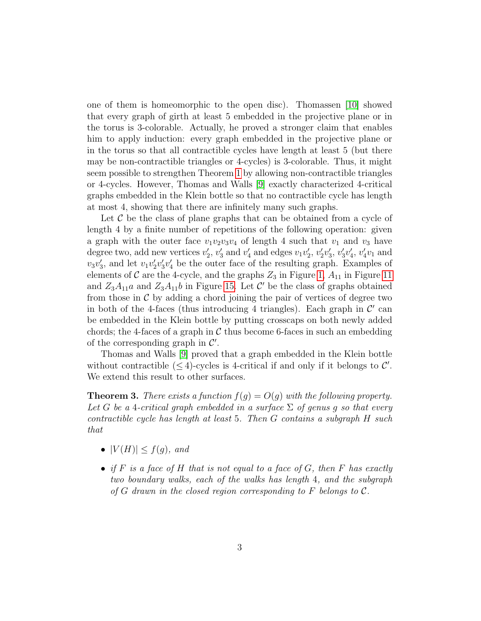one of them is homeomorphic to the open disc). Thomassen [\[10\]](#page-51-0) showed that every graph of girth at least 5 embedded in the projective plane or in the torus is 3-colorable. Actually, he proved a stronger claim that enables him to apply induction: every graph embedded in the projective plane or in the torus so that all contractible cycles have length at least 5 (but there may be non-contractible triangles or 4-cycles) is 3-colorable. Thus, it might seem possible to strengthen Theorem [1](#page-1-0) by allowing non-contractible triangles or 4-cycles. However, Thomas and Walls [\[9\]](#page-51-1) exactly characterized 4-critical graphs embedded in the Klein bottle so that no contractible cycle has length at most 4, showing that there are infinitely many such graphs.

Let  $\mathcal C$  be the class of plane graphs that can be obtained from a cycle of length 4 by a finite number of repetitions of the following operation: given a graph with the outer face  $v_1v_2v_3v_4$  of length 4 such that  $v_1$  and  $v_3$  have degree two, add new vertices  $v'_2$ ,  $v'_3$  and  $v'_4$  and edges  $v_1v'_2$ ,  $v'_2v'_3$ ,  $v'_3v'_4$ ,  $v'_4v_1$  and  $v_3v'_3$ , and let  $v_1v'_2v'_3v'_4$  be the outer face of the resulting graph. Examples of elements of  $\mathcal C$  are the 4-cycle, and the graphs  $Z_3$  in Figure [1,](#page-5-0)  $A_{11}$  in Figure [11](#page-22-0) and  $Z_3A_{11}a$  and  $Z_3A_{11}b$  in Figure [15.](#page-27-0) Let  $\mathcal{C}'$  be the class of graphs obtained from those in  $\mathcal C$  by adding a chord joining the pair of vertices of degree two in both of the 4-faces (thus introducing 4 triangles). Each graph in  $\mathcal{C}'$  can be embedded in the Klein bottle by putting crosscaps on both newly added chords; the 4-faces of a graph in  $\mathcal C$  thus become 6-faces in such an embedding of the corresponding graph in  $\mathcal{C}'$ .

Thomas and Walls [\[9\]](#page-51-1) proved that a graph embedded in the Klein bottle without contractible  $(\leq 4)$ -cycles is 4-critical if and only if it belongs to C'. We extend this result to other surfaces.

<span id="page-2-0"></span>**Theorem 3.** There exists a function  $f(g) = O(g)$  with the following property. Let G be a 4-critical graph embedded in a surface  $\Sigma$  of genus g so that every contractible cycle has length at least 5. Then G contains a subgraph H such that

- $|V(H)| \leq f(g)$ , and
- if F is a face of H that is not equal to a face of G, then F has exactly two boundary walks, each of the walks has length 4, and the subgraph of G drawn in the closed region corresponding to F belongs to  $\mathcal{C}$ .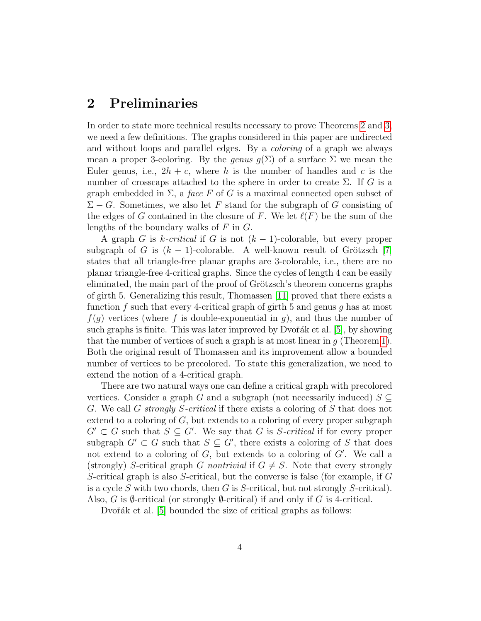## 2 Preliminaries

In order to state more technical results necessary to prove Theorems [2](#page-1-1) and [3,](#page-2-0) we need a few definitions. The graphs considered in this paper are undirected and without loops and parallel edges. By a coloring of a graph we always mean a proper 3-coloring. By the genus  $q(\Sigma)$  of a surface  $\Sigma$  we mean the Euler genus, i.e.,  $2h + c$ , where h is the number of handles and c is the number of crosscaps attached to the sphere in order to create  $\Sigma$ . If G is a graph embedded in  $\Sigma$ , a *face* F of G is a maximal connected open subset of  $\Sigma - G$ . Sometimes, we also let F stand for the subgraph of G consisting of the edges of G contained in the closure of F. We let  $\ell(F)$  be the sum of the lengths of the boundary walks of  $F$  in  $G$ .

A graph G is k-critical if G is not  $(k-1)$ -colorable, but every proper subgraph of G is  $(k - 1)$ -colorable. A well-known result of Grötzsch [\[7\]](#page-50-0) states that all triangle-free planar graphs are 3-colorable, i.e., there are no planar triangle-free 4-critical graphs. Since the cycles of length 4 can be easily eliminated, the main part of the proof of Grötzsch's theorem concerns graphs of girth 5. Generalizing this result, Thomassen [\[11\]](#page-51-2) proved that there exists a function  $f$  such that every 4-critical graph of girth 5 and genus  $g$  has at most  $f(g)$  vertices (where f is double-exponential in g), and thus the number of such graphs is finite. This was later improved by Dvořák et al.  $[5]$ , by showing that the number of vertices of such a graph is at most linear in  $q$  (Theorem [1\)](#page-1-0). Both the original result of Thomassen and its improvement allow a bounded number of vertices to be precolored. To state this generalization, we need to extend the notion of a 4-critical graph.

There are two natural ways one can define a critical graph with precolored vertices. Consider a graph G and a subgraph (not necessarily induced)  $S \subseteq$ G. We call G strongly S-critical if there exists a coloring of S that does not extend to a coloring of  $G$ , but extends to a coloring of every proper subgraph  $G' \subset G$  such that  $S \subseteq G'$ . We say that G is S-critical if for every proper subgraph  $G' \subset G$  such that  $S \subseteq G'$ , there exists a coloring of S that does not extend to a coloring of  $G$ , but extends to a coloring of  $G'$ . We call a (strongly) S-critical graph G nontrivial if  $G \neq S$ . Note that every strongly S-critical graph is also S-critical, but the converse is false (for example, if G is a cycle S with two chords, then  $G$  is S-critical, but not strongly S-critical). Also, G is  $\emptyset$ -critical (or strongly  $\emptyset$ -critical) if and only if G is 4-critical.

Dvořák et al. [\[5\]](#page-50-2) bounded the size of critical graphs as follows: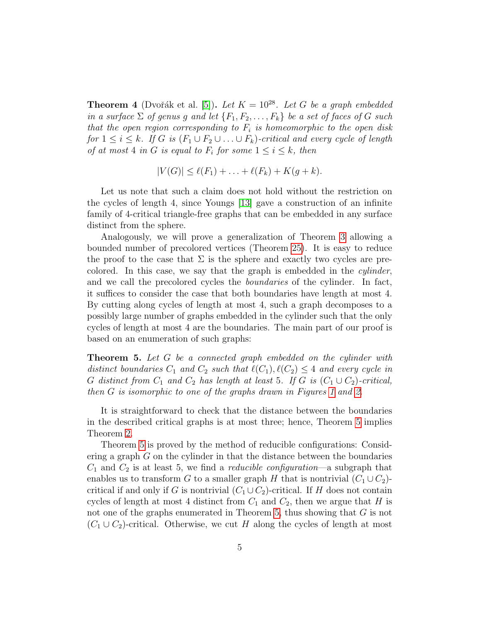<span id="page-4-1"></span>**Theorem 4** (Dvořák et al. [\[5\]](#page-50-2)). Let  $K = 10^{28}$ . Let G be a graph embedded in a surface  $\Sigma$  of genus g and let  $\{F_1, F_2, \ldots, F_k\}$  be a set of faces of G such that the open region corresponding to  $F_i$  is homeomorphic to the open disk for  $1 \leq i \leq k$ . If G is  $(F_1 \cup F_2 \cup \ldots \cup F_k)$ -critical and every cycle of length of at most 4 in G is equal to  $F_i$  for some  $1 \leq i \leq k$ , then

$$
|V(G)| \leq \ell(F_1) + \ldots + \ell(F_k) + K(g+k).
$$

Let us note that such a claim does not hold without the restriction on the cycles of length 4, since Youngs [\[13\]](#page-51-4) gave a construction of an infinite family of 4-critical triangle-free graphs that can be embedded in any surface distinct from the sphere.

Analogously, we will prove a generalization of Theorem [3](#page-2-0) allowing a bounded number of precolored vertices (Theorem [25\)](#page-47-0). It is easy to reduce the proof to the case that  $\Sigma$  is the sphere and exactly two cycles are precolored. In this case, we say that the graph is embedded in the cylinder, and we call the precolored cycles the boundaries of the cylinder. In fact, it suffices to consider the case that both boundaries have length at most 4. By cutting along cycles of length at most 4, such a graph decomposes to a possibly large number of graphs embedded in the cylinder such that the only cycles of length at most 4 are the boundaries. The main part of our proof is based on an enumeration of such graphs:

<span id="page-4-0"></span>**Theorem 5.** Let G be a connected graph embedded on the cylinder with distinct boundaries  $C_1$  and  $C_2$  such that  $\ell(C_1), \ell(C_2) \leq 4$  and every cycle in G distinct from  $C_1$  and  $C_2$  has length at least 5. If G is  $(C_1 \cup C_2)$ -critical, then G is isomorphic to one of the graphs drawn in Figures [1](#page-5-0) and [2.](#page-6-0)

It is straightforward to check that the distance between the boundaries in the described critical graphs is at most three; hence, Theorem [5](#page-4-0) implies Theorem [2.](#page-1-1)

Theorem [5](#page-4-0) is proved by the method of reducible configurations: Considering a graph  $G$  on the cylinder in that the distance between the boundaries  $C_1$  and  $C_2$  is at least 5, we find a *reducible configuration*—a subgraph that enables us to transform G to a smaller graph H that is nontrivial  $(C_1 \cup C_2)$ critical if and only if G is nontrivial  $(C_1 \cup C_2)$ -critical. If H does not contain cycles of length at most 4 distinct from  $C_1$  and  $C_2$ , then we argue that H is not one of the graphs enumerated in Theorem [5,](#page-4-0) thus showing that G is not  $(C_1 \cup C_2)$ -critical. Otherwise, we cut H along the cycles of length at most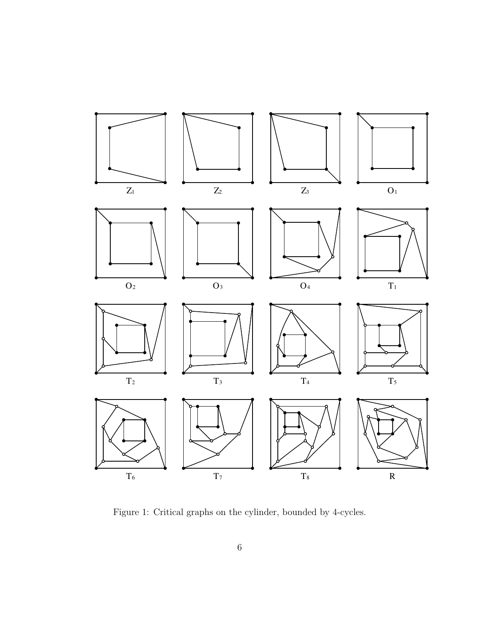

<span id="page-5-0"></span>Figure 1: Critical graphs on the cylinder, bounded by 4-cycles.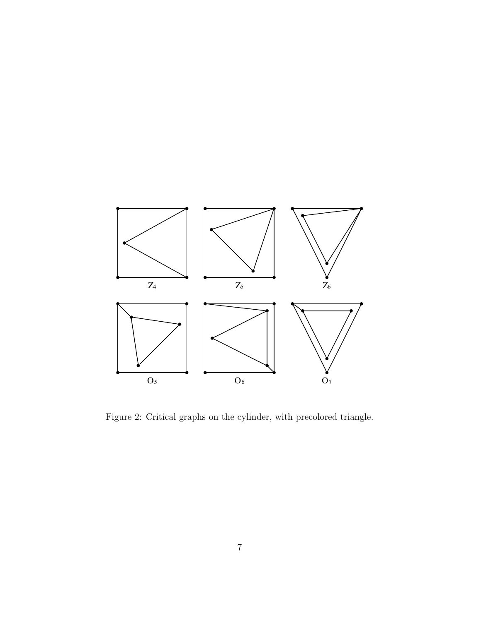

<span id="page-6-0"></span>Figure 2: Critical graphs on the cylinder, with precolored triangle.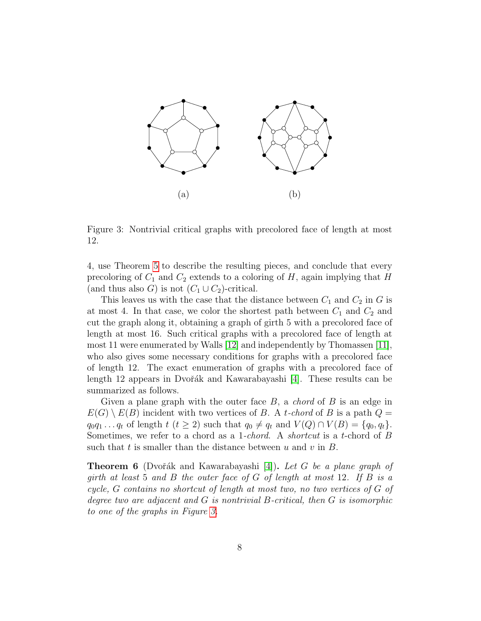

<span id="page-7-0"></span>Figure 3: Nontrivial critical graphs with precolored face of length at most 12.

4, use Theorem [5](#page-4-0) to describe the resulting pieces, and conclude that every precoloring of  $C_1$  and  $C_2$  extends to a coloring of H, again implying that H (and thus also G) is not  $(C_1 \cup C_2)$ -critical.

This leaves us with the case that the distance between  $C_1$  and  $C_2$  in G is at most 4. In that case, we color the shortest path between  $C_1$  and  $C_2$  and cut the graph along it, obtaining a graph of girth 5 with a precolored face of length at most 16. Such critical graphs with a precolored face of length at most 11 were enumerated by Walls [\[12\]](#page-51-5) and independently by Thomassen [\[11\]](#page-51-2), who also gives some necessary conditions for graphs with a precolored face of length 12. The exact enumeration of graphs with a precolored face of length 12 appears in Dvořák and Kawarabayashi  $[4]$ . These results can be summarized as follows.

Given a plane graph with the outer face  $B$ , a *chord* of  $B$  is an edge in  $E(G) \setminus E(B)$  incident with two vertices of B. A t-chord of B is a path  $Q =$  $q_0q_1 \tldots q_t$  of length  $t$   $(t \geq 2)$  such that  $q_0 \neq q_t$  and  $V(Q) \cap V(B) = \{q_0, q_t\}.$ Sometimes, we refer to a chord as a 1-*chord*. A *shortcut* is a t-chord of B such that t is smaller than the distance between u and v in  $B$ .

<span id="page-7-1"></span>**Theorem 6** (Dvořák and Kawarabayashi [\[4\]](#page-50-3)). Let G be a plane graph of girth at least 5 and B the outer face of G of length at most 12. If B is a cycle, G contains no shortcut of length at most two, no two vertices of G of degree two are adjacent and G is nontrivial B-critical, then G is isomorphic to one of the graphs in Figure [3.](#page-7-0)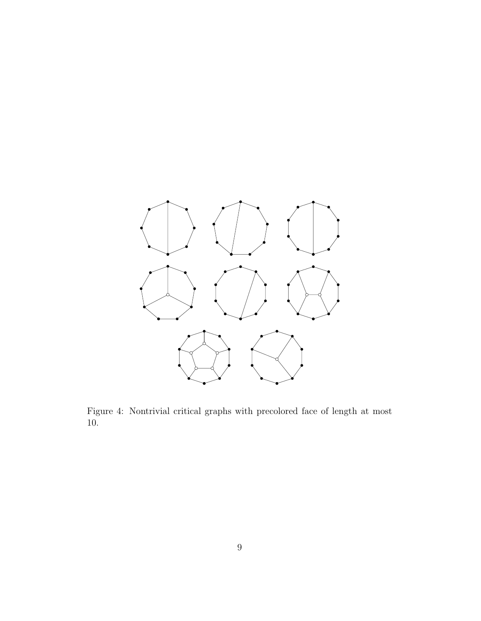

<span id="page-8-0"></span>Figure 4: Nontrivial critical graphs with precolored face of length at most 10.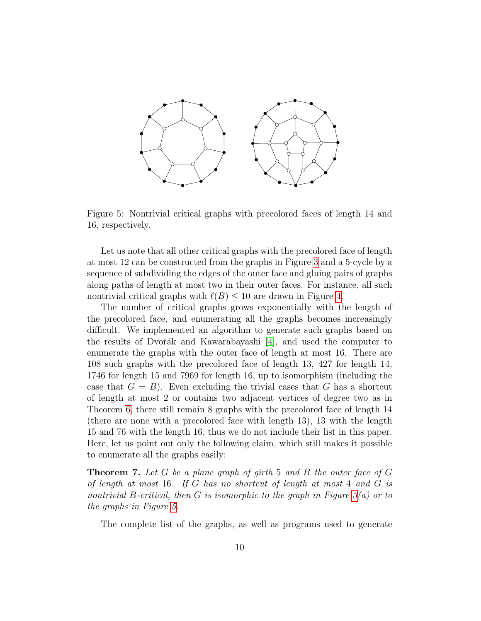

<span id="page-9-0"></span>Figure 5: Nontrivial critical graphs with precolored faces of length 14 and 16, respectively.

Let us note that all other critical graphs with the precolored face of length at most 12 can be constructed from the graphs in Figure [3](#page-7-0) and a 5-cycle by a sequence of subdividing the edges of the outer face and gluing pairs of graphs along paths of length at most two in their outer faces. For instance, all such nontrivial critical graphs with  $\ell(B) \leq 10$  are drawn in Figure [4.](#page-8-0)

The number of critical graphs grows exponentially with the length of the precolored face, and enumerating all the graphs becomes increasingly difficult. We implemented an algorithm to generate such graphs based on the results of Dvořák and Kawarabayashi  $[4]$ , and used the computer to enumerate the graphs with the outer face of length at most 16. There are 108 such graphs with the precolored face of length 13, 427 for length 14, 1746 for length 15 and 7969 for length 16, up to isomorphism (including the case that  $G = B$ ). Even excluding the trivial cases that G has a shortcut of length at most 2 or contains two adjacent vertices of degree two as in Theorem [6,](#page-7-1) there still remain 8 graphs with the precolored face of length 14 (there are none with a precolored face with length 13), 13 with the length 15 and 76 with the length 16, thus we do not include their list in this paper. Here, let us point out only the following claim, which still makes it possible to enumerate all the graphs easily:

<span id="page-9-1"></span>**Theorem 7.** Let G be a plane graph of girth 5 and B the outer face of G of length at most 16. If G has no shortcut of length at most 4 and  $G$  is nontrivial B-critical, then G is isomorphic to the graph in Figure  $3(a)$  or to the graphs in Figure [5.](#page-9-0)

The complete list of the graphs, as well as programs used to generate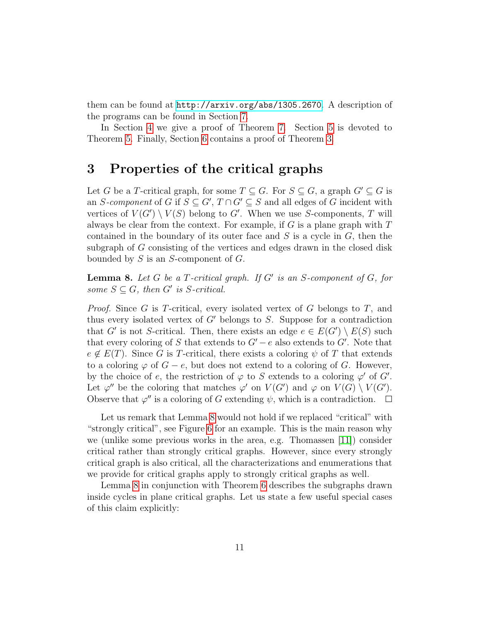them can be found at <http://arxiv.org/abs/1305.2670>. A description of the programs can be found in Section [7.](#page-49-0)

In Section [4](#page-11-0) we give a proof of Theorem [7.](#page-9-1) Section [5](#page-17-0) is devoted to Theorem [5.](#page-4-0) Finally, Section [6](#page-46-0) contains a proof of Theorem [3.](#page-2-0)

## 3 Properties of the critical graphs

Let G be a T-critical graph, for some  $T \subseteq G$ . For  $S \subseteq G$ , a graph  $G' \subseteq G$  is an S-component of G if  $S \subseteq G', T \cap G' \subseteq S$  and all edges of G incident with vertices of  $V(G') \setminus V(S)$  belong to G'. When we use S-components, T will always be clear from the context. For example, if  $G$  is a plane graph with  $T$ contained in the boundary of its outer face and  $S$  is a cycle in  $G$ , then the subgraph of G consisting of the vertices and edges drawn in the closed disk bounded by  $S$  is an  $S$ -component of  $G$ .

<span id="page-10-0"></span>**Lemma 8.** Let G be a T-critical graph. If G' is an S-component of G, for some  $S \subseteq G$ , then G' is S-critical.

*Proof.* Since G is T-critical, every isolated vertex of G belongs to T, and thus every isolated vertex of  $G'$  belongs to S. Suppose for a contradiction that G' is not S-critical. Then, there exists an edge  $e \in E(G') \setminus E(S)$  such that every coloring of S that extends to  $G' - e$  also extends to  $G'$ . Note that  $e \notin E(T)$ . Since G is T-critical, there exists a coloring  $\psi$  of T that extends to a coloring  $\varphi$  of  $G - e$ , but does not extend to a coloring of G. However, by the choice of e, the restriction of  $\varphi$  to S extends to a coloring  $\varphi'$  of G'. Let  $\varphi''$  be the coloring that matches  $\varphi'$  on  $V(G')$  and  $\varphi$  on  $V(G) \setminus V(G')$ . Observe that  $\varphi''$  is a coloring of G extending  $\psi$ , which is a contradiction.

Let us remark that Lemma [8](#page-10-0) would not hold if we replaced "critical" with "strongly critical", see Figure [6](#page-11-1) for an example. This is the main reason why we (unlike some previous works in the area, e.g. Thomassen [\[11\]](#page-51-2)) consider critical rather than strongly critical graphs. However, since every strongly critical graph is also critical, all the characterizations and enumerations that we provide for critical graphs apply to strongly critical graphs as well.

Lemma [8](#page-10-0) in conjunction with Theorem [6](#page-7-1) describes the subgraphs drawn inside cycles in plane critical graphs. Let us state a few useful special cases of this claim explicitly: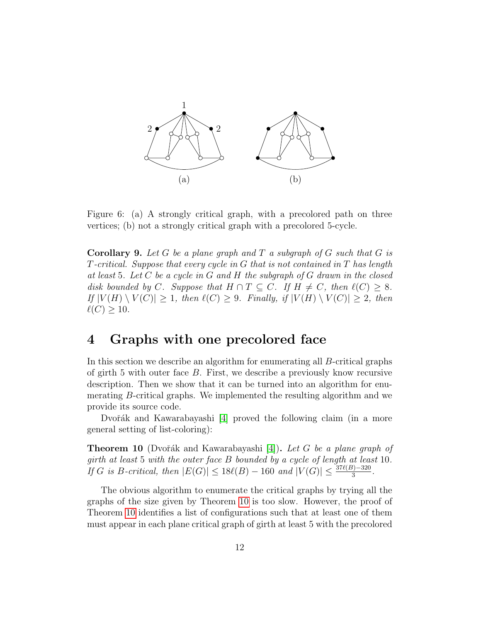

<span id="page-11-1"></span>Figure 6: (a) A strongly critical graph, with a precolored path on three vertices; (b) not a strongly critical graph with a precolored 5-cycle.

<span id="page-11-3"></span>**Corollary 9.** Let G be a plane graph and T a subgraph of G such that G is T-critical. Suppose that every cycle in G that is not contained in T has length at least 5. Let  $C$  be a cycle in  $G$  and  $H$  the subgraph of  $G$  drawn in the closed disk bounded by C. Suppose that  $H \cap T \subseteq C$ . If  $H \neq C$ , then  $\ell(C) \geq 8$ . If  $|V(H) \setminus V(C)| \geq 1$ , then  $\ell(C) \geq 9$ . Finally, if  $|V(H) \setminus V(C)| \geq 2$ , then  $\ell(C) \geq 10$ .

## <span id="page-11-0"></span>4 Graphs with one precolored face

In this section we describe an algorithm for enumerating all B-critical graphs of girth 5 with outer face  $B$ . First, we describe a previously know recursive description. Then we show that it can be turned into an algorithm for enumerating B-critical graphs. We implemented the resulting algorithm and we provide its source code.

Dvořák and Kawarabayashi [\[4\]](#page-50-3) proved the following claim (in a more general setting of list-coloring):

<span id="page-11-2"></span>**Theorem 10** (Dvořák and Kawarabayashi [\[4\]](#page-50-3)). Let G be a plane graph of girth at least 5 with the outer face B bounded by a cycle of length at least 10. If G is B-critical, then  $|E(G)| \le 18\ell(B) - 160$  and  $|V(G)| \le \frac{37\ell(B) - 320}{3}$ .

The obvious algorithm to enumerate the critical graphs by trying all the graphs of the size given by Theorem [10](#page-11-2) is too slow. However, the proof of Theorem [10](#page-11-2) identifies a list of configurations such that at least one of them must appear in each plane critical graph of girth at least 5 with the precolored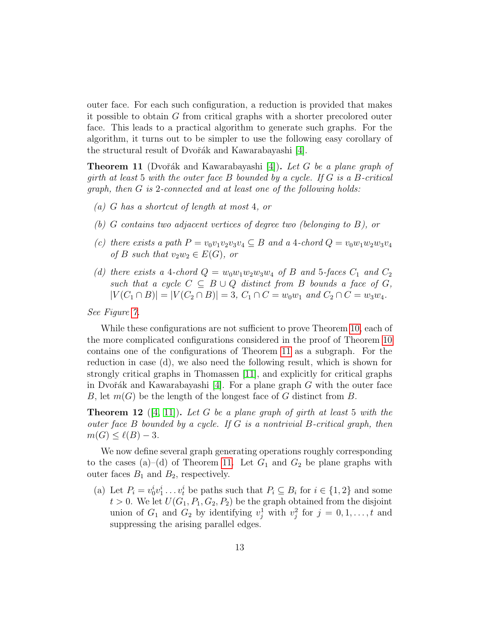outer face. For each such configuration, a reduction is provided that makes it possible to obtain G from critical graphs with a shorter precolored outer face. This leads to a practical algorithm to generate such graphs. For the algorithm, it turns out to be simpler to use the following easy corollary of the structural result of Dvořák and Kawarabayashi [\[4\]](#page-50-3).

<span id="page-12-0"></span>**Theorem 11** (Dvořák and Kawarabayashi [\[4\]](#page-50-3)). Let G be a plane graph of girth at least 5 with the outer face  $B$  bounded by a cycle. If  $G$  is a  $B$ -critical graph, then G is 2-connected and at least one of the following holds:

- (a) G has a shortcut of length at most 4, or
- (b) G contains two adjacent vertices of degree two (belonging to B), or
- (c) there exists a path  $P = v_0v_1v_2v_3v_4 \subseteq B$  and a 4-chord  $Q = v_0w_1w_2w_3v_4$ of B such that  $v_2w_2 \in E(G)$ , or
- (d) there exists a 4-chord  $Q = w_0w_1w_2w_3w_4$  of B and 5-faces  $C_1$  and  $C_2$ such that a cycle  $C \subseteq B \cup Q$  distinct from B bounds a face of G,  $|V(C_1 \cap B)| = |V(C_2 \cap B)| = 3, C_1 \cap C = w_0w_1$  and  $C_2 \cap C = w_3w_4$ .

See Figure [7.](#page-13-0)

While these configurations are not sufficient to prove Theorem [10,](#page-11-2) each of the more complicated configurations considered in the proof of Theorem [10](#page-11-2) contains one of the configurations of Theorem [11](#page-12-0) as a subgraph. For the reduction in case (d), we also need the following result, which is shown for strongly critical graphs in Thomassen [\[11\]](#page-51-2), and explicitly for critical graphs in Dvořák and Kawarabayashi [\[4\]](#page-50-3). For a plane graph G with the outer face B, let  $m(G)$  be the length of the longest face of G distinct from B.

<span id="page-12-1"></span>**Theorem 12** ([\[4,](#page-50-3) [11\]](#page-51-2)). Let G be a plane graph of girth at least 5 with the outer face  $B$  bounded by a cycle. If  $G$  is a nontrivial  $B$ -critical graph, then  $m(G) \leq \ell(B) - 3.$ 

We now define several graph generating operations roughly corresponding to the cases (a)–(d) of Theorem [11.](#page-12-0) Let  $G_1$  and  $G_2$  be plane graphs with outer faces  $B_1$  and  $B_2$ , respectively.

(a) Let  $P_i = v_0^i v_1^i \dots v_t^i$  be paths such that  $P_i \subseteq B_i$  for  $i \in \{1, 2\}$  and some  $t > 0$ . We let  $U(G_1, P_1, G_2, P_2)$  be the graph obtained from the disjoint union of  $G_1$  and  $G_2$  by identifying  $v_j^1$  with  $v_j^2$  for  $j = 0, 1, \ldots, t$  and suppressing the arising parallel edges.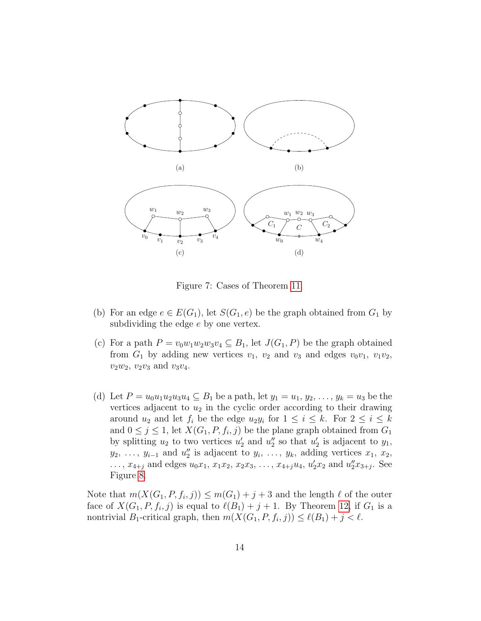

<span id="page-13-0"></span>Figure 7: Cases of Theorem [11.](#page-12-0)

- (b) For an edge  $e \in E(G_1)$ , let  $S(G_1, e)$  be the graph obtained from  $G_1$  by subdividing the edge e by one vertex.
- (c) For a path  $P = v_0w_1w_2w_3v_4 \subseteq B_1$ , let  $J(G_1, P)$  be the graph obtained from  $G_1$  by adding new vertices  $v_1$ ,  $v_2$  and  $v_3$  and edges  $v_0v_1$ ,  $v_1v_2$ ,  $v_2w_2$ ,  $v_2v_3$  and  $v_3v_4$ .
- (d) Let  $P = u_0 u_1 u_2 u_3 u_4 \subseteq B_1$  be a path, let  $y_1 = u_1, y_2, \ldots, y_k = u_3$  be the vertices adjacent to  $u_2$  in the cyclic order according to their drawing around  $u_2$  and let  $f_i$  be the edge  $u_2y_i$  for  $1 \leq i \leq k$ . For  $2 \leq i \leq k$ and  $0 \leq j \leq 1$ , let  $X(G_1, P, f_i, j)$  be the plane graph obtained from  $G_1$ by splitting  $u_2$  to two vertices  $u'_2$  and  $u''_2$  so that  $u'_2$  is adjacent to  $y_1$ ,  $y_2, \ldots, y_{i-1}$  and  $u''_2$  is adjacent to  $y_i, \ldots, y_k$ , adding vertices  $x_1, x_2$ , ...,  $x_{4+j}$  and edges  $u_0x_1, x_1x_2, x_2x_3, \ldots, x_{4+j}u_4, u'_2x_2$  and  $u''_2x_{3+j}$ . See Figure [8.](#page-14-0)

Note that  $m(X(G_1, P, f_i, j)) \leq m(G_1) + j + 3$  and the length  $\ell$  of the outer face of  $X(G_1, P, f_i, j)$  is equal to  $\ell(B_1) + j + 1$ . By Theorem [12,](#page-12-1) if  $G_1$  is a nontrivial  $B_1$ -critical graph, then  $m(X(G_1, P, f_i, j)) \leq \ell(B_1) + j < \ell$ .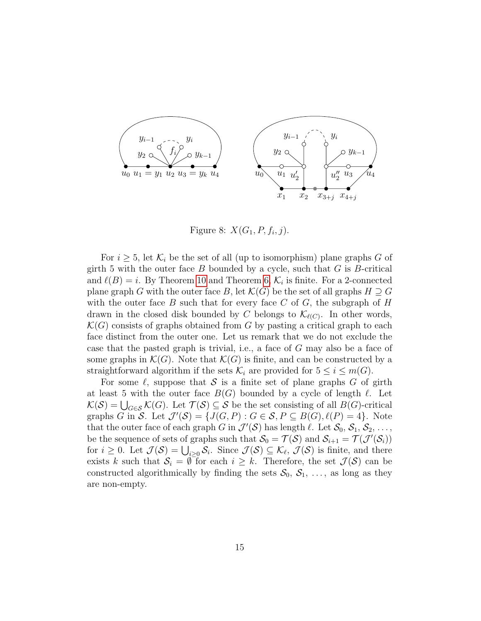

<span id="page-14-0"></span>Figure 8:  $X(G_1, P, f_i, j)$ .

For  $i \geq 5$ , let  $\mathcal{K}_i$  be the set of all (up to isomorphism) plane graphs G of girth 5 with the outer face  $B$  bounded by a cycle, such that  $G$  is  $B$ -critical and  $\ell(B) = i$ . By Theorem [10](#page-11-2) and Theorem [6,](#page-7-1)  $\mathcal{K}_i$  is finite. For a 2-connected plane graph G with the outer face B, let  $\mathcal{K}(G)$  be the set of all graphs  $H \supseteq G$ with the outer face B such that for every face C of G, the subgraph of H drawn in the closed disk bounded by C belongs to  $\mathcal{K}_{\ell(C)}$ . In other words,  $\mathcal{K}(G)$  consists of graphs obtained from G by pasting a critical graph to each face distinct from the outer one. Let us remark that we do not exclude the case that the pasted graph is trivial, i.e., a face of G may also be a face of some graphs in  $\mathcal{K}(G)$ . Note that  $\mathcal{K}(G)$  is finite, and can be constructed by a straightforward algorithm if the sets  $\mathcal{K}_i$  are provided for  $5 \leq i \leq m(G)$ .

For some  $\ell$ , suppose that S is a finite set of plane graphs G of girth at least 5 with the outer face  $B(G)$  bounded by a cycle of length  $\ell$ . Let  $\mathcal{K}(\mathcal{S}) = \bigcup_{G \in \mathcal{S}} \mathcal{K}(G)$ . Let  $\mathcal{T}(\mathcal{S}) \subseteq \mathcal{S}$  be the set consisting of all  $B(G)$ -critical graphs G in S. Let  $\mathcal{J}'(\mathcal{S}) = \{J(G, P) : G \in \mathcal{S}, P \subseteq B(G), \ell(P) = 4\}$ . Note that the outer face of each graph G in  $\mathcal{J}'(\mathcal{S})$  has length  $\ell$ . Let  $\mathcal{S}_0, \mathcal{S}_1, \mathcal{S}_2, \ldots$ , be the sequence of sets of graphs such that  $\mathcal{S}_0 = \mathcal{T}(\mathcal{S})$  and  $\mathcal{S}_{i+1} = \mathcal{T}(\mathcal{J}'(\mathcal{S}_i))$ for  $i \geq 0$ . Let  $\mathcal{J}(\mathcal{S}) = \bigcup_{i \geq 0} \mathcal{S}_i$ . Since  $\mathcal{J}(\mathcal{S}) \subseteq \mathcal{K}_{\ell}, \mathcal{J}(\mathcal{S})$  is finite, and there exists k such that  $S_i = \emptyset$  for each  $i \geq k$ . Therefore, the set  $\mathcal{J}(S)$  can be constructed algorithmically by finding the sets  $S_0, S_1, \ldots$ , as long as they are non-empty.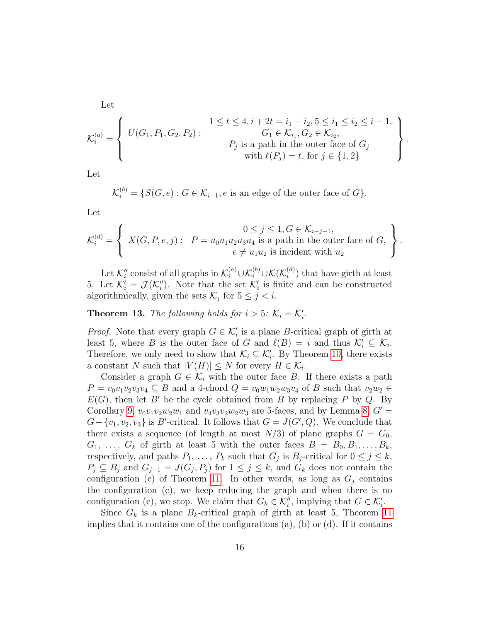Let

$$
\mathcal{K}_i^{(a)} = \left\{ \begin{array}{c} U(G_1, P_1, G_2, P_2) : \begin{cases} 1 \le t \le 4, i + 2t = i_1 + i_2, 5 \le i_1 \le i_2 \le i - 1, \\ G_1 \in \mathcal{K}_{i_1}, G_2 \in \mathcal{K}_{i_2}, \\ P_j \text{ is a path in the outer face of } G_j \\ \text{with } \ell(P_j) = t, \text{ for } j \in \{1, 2\} \end{cases} \end{array} \right\}
$$

.

.

Let

$$
\mathcal{K}_i^{(b)} = \{ S(G, e) : G \in \mathcal{K}_{i-1}, e \text{ is an edge of the outer face of } G \}.
$$

Let

$$
\mathcal{K}_i^{(d)} = \left\{ \begin{array}{l} 0 \leq j \leq 1, G \in \mathcal{K}_{i-j-1}, \\ X(G, P, e, j): P = u_0 u_1 u_2 u_3 u_4 \text{ is a path in the outer face of } G, \\ e \neq u_1 u_2 \text{ is incident with } u_2 \end{array} \right\}
$$

Let  $\mathcal{K}_i''$  consist of all graphs in  $\mathcal{K}_i^{(a)} \cup \mathcal{K}_i^{(b)} \cup \mathcal{K}(\mathcal{K}_i^{(d)})$  $\binom{a}{i}$  that have girth at least 5. Let  $\mathcal{K}'_i = \mathcal{J}(\mathcal{K}''_i)$ . Note that the set  $\mathcal{K}'_i$  is finite and can be constructed algorithmically, given the sets  $\mathcal{K}_j$  for  $5 \leq j < i$ .

<span id="page-15-0"></span>**Theorem 13.** The following holds for  $i > 5$ :  $K_i = K'_i$ .

*Proof.* Note that every graph  $G \in \mathcal{K}'_i$  is a plane B-critical graph of girth at least 5, where B is the outer face of G and  $\ell(B) = i$  and thus  $\mathcal{K}'_i \subseteq \mathcal{K}_i$ . Therefore, we only need to show that  $\mathcal{K}_i \subseteq \mathcal{K}'_i$ . By Theorem [10,](#page-11-2) there exists a constant N such that  $|V(H)| \leq N$  for every  $H \in \mathcal{K}_i$ .

Consider a graph  $G \in \mathcal{K}_i$  with the outer face B. If there exists a path  $P = v_0v_1v_2v_3v_4 \subseteq B$  and a 4-chord  $Q = v_0w_1w_2w_3v_4$  of B such that  $v_2w_2 \in B$  $E(G)$ , then let B' be the cycle obtained from B by replacing P by Q. By Corollary [9,](#page-11-3)  $v_0v_1v_2w_2w_1$  and  $v_4v_3v_2w_2w_3$  are 5-faces, and by Lemma [8,](#page-10-0)  $G'$  =  $G - \{v_1, v_2, v_3\}$  is B'-critical. It follows that  $G = J(G', Q)$ . We conclude that there exists a sequence (of length at most  $N/3$ ) of plane graphs  $G = G_0$ ,  $G_1, \ldots, G_k$  of girth at least 5 with the outer faces  $B = B_0, B_1, \ldots, B_k$ , respectively, and paths  $P_1, \ldots, P_k$  such that  $G_j$  is  $B_j$ -critical for  $0 \leq j \leq k$ ,  $P_j \subseteq B_j$  and  $G_{j-1} = J(G_j, P_j)$  for  $1 \leq j \leq k$ , and  $G_k$  does not contain the configuration (c) of Theorem [11.](#page-12-0) In other words, as long as  $G_j$  contains the configuration (c), we keep reducing the graph and when there is no configuration (c), we stop. We claim that  $G_k \in \mathcal{K}'_i$ , implying that  $G \in \mathcal{K}'_i$ .

Since  $G_k$  is a plane  $B_k$ -critical graph of girth at least 5, Theorem [11](#page-12-0) implies that it contains one of the configurations  $(a)$ ,  $(b)$  or  $(d)$ . If it contains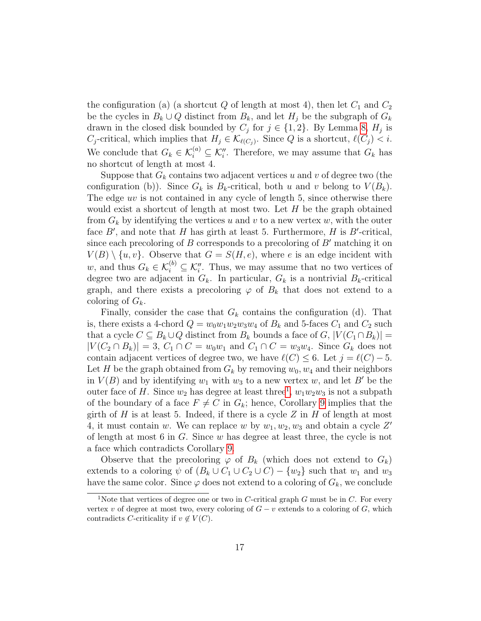the configuration (a) (a shortcut  $Q$  of length at most 4), then let  $C_1$  and  $C_2$ be the cycles in  $B_k \cup Q$  distinct from  $B_k$ , and let  $H_j$  be the subgraph of  $G_k$ drawn in the closed disk bounded by  $C_j$  for  $j \in \{1,2\}$ . By Lemma [8,](#page-10-0)  $H_j$  is C<sub>j</sub>-critical, which implies that  $H_j \in \mathcal{K}_{\ell(C_j)}$ . Since Q is a shortcut,  $\ell(C_j) < i$ . We conclude that  $G_k \in \mathcal{K}_i^{(a)} \subseteq \mathcal{K}_i''$ . Therefore, we may assume that  $G_k$  has no shortcut of length at most 4.

Suppose that  $G_k$  contains two adjacent vertices u and v of degree two (the configuration (b)). Since  $G_k$  is  $B_k$ -critical, both u and v belong to  $V(B_k)$ . The edge uv is not contained in any cycle of length 5, since otherwise there would exist a shortcut of length at most two. Let  $H$  be the graph obtained from  $G_k$  by identifying the vertices u and v to a new vertex w, with the outer face  $B'$ , and note that H has girth at least 5. Furthermore, H is  $B'$ -critical, since each precoloring of B corresponds to a precoloring of  $B'$  matching it on  $V(B) \setminus \{u, v\}$ . Observe that  $G = S(H, e)$ , where e is an edge incident with w, and thus  $G_k \in \mathcal{K}_i^{(b)} \subseteq \mathcal{K}_i''$ . Thus, we may assume that no two vertices of degree two are adjacent in  $G_k$ . In particular,  $G_k$  is a nontrivial  $B_k$ -critical graph, and there exists a precoloring  $\varphi$  of  $B_k$  that does not extend to a coloring of  $G_k$ .

Finally, consider the case that  $G_k$  contains the configuration (d). That is, there exists a 4-chord  $Q = w_0w_1w_2w_3w_4$  of  $B_k$  and 5-faces  $C_1$  and  $C_2$  such that a cycle  $C \subseteq B_k \cup Q$  distinct from  $B_k$  bounds a face of  $G, |V(C_1 \cap B_k)| =$  $|V(C_2 \cap B_k)| = 3, C_1 \cap C = w_0w_1$  and  $C_1 \cap C = w_3w_4$ . Since  $G_k$  does not contain adjacent vertices of degree two, we have  $\ell(C) \leq 6$ . Let  $j = \ell(C) - 5$ . Let H be the graph obtained from  $G_k$  by removing  $w_0, w_4$  and their neighbors in  $V(B)$  and by identifying  $w_1$  with  $w_3$  to a new vertex w, and let B' be the outer face of H. Since  $w_2$  has degree at least three<sup>[1](#page-16-0)</sup>,  $w_1w_2w_3$  is not a subpath of the boundary of a face  $F \neq C$  in  $G_k$ ; hence, Corollary [9](#page-11-3) implies that the girth of  $H$  is at least 5. Indeed, if there is a cycle  $Z$  in  $H$  of length at most 4, it must contain w. We can replace w by  $w_1, w_2, w_3$  and obtain a cycle  $Z'$ of length at most  $6$  in  $G$ . Since  $w$  has degree at least three, the cycle is not a face which contradicts Corollary [9.](#page-11-3)

Observe that the precoloring  $\varphi$  of  $B_k$  (which does not extend to  $G_k$ ) extends to a coloring  $\psi$  of  $(B_k \cup C_1 \cup C_2 \cup C) - \{w_2\}$  such that  $w_1$  and  $w_3$ have the same color. Since  $\varphi$  does not extend to a coloring of  $G_k$ , we conclude

<span id="page-16-0"></span><sup>&</sup>lt;sup>1</sup>Note that vertices of degree one or two in C-critical graph  $G$  must be in  $C$ . For every vertex v of degree at most two, every coloring of  $G - v$  extends to a coloring of G, which contradicts C-criticality if  $v \notin V(C)$ .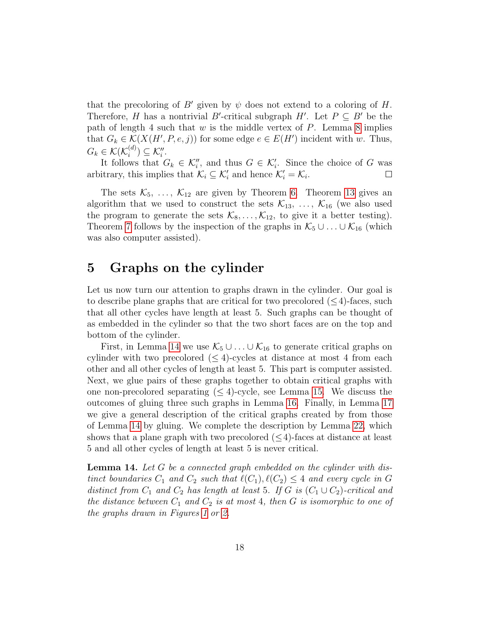that the precoloring of B' given by  $\psi$  does not extend to a coloring of H. Therefore, H has a nontrivial B'-critical subgraph H'. Let  $P \subseteq B'$  be the path of length 4 such that  $w$  is the middle vertex of  $P$ . Lemma [8](#page-10-0) implies that  $G_k \in \mathcal{K}(X(H', P, e, j))$  for some edge  $e \in E(H')$  incident with w. Thus,  $G_k \in \mathcal{K}(\mathcal{K}_i^{(d)})$  $\binom{a}{i} \subseteq \mathcal{K}''_i.$ 

It follows that  $G_k \in \mathcal{K}'_i$ , and thus  $G \in \mathcal{K}'_i$ . Since the choice of G was arbitrary, this implies that  $\mathcal{K}_i \subseteq \mathcal{K}'_i$  and hence  $\mathcal{K}'_i = \mathcal{K}_i$ .  $\Box$ 

The sets  $\mathcal{K}_5, \ldots, \mathcal{K}_{12}$  are given by Theorem [6.](#page-7-1) Theorem [13](#page-15-0) gives an algorithm that we used to construct the sets  $\mathcal{K}_{13}$ , ...,  $\mathcal{K}_{16}$  (we also used the program to generate the sets  $\mathcal{K}_8, \ldots, \mathcal{K}_{12}$ , to give it a better testing). Theorem [7](#page-9-1) follows by the inspection of the graphs in  $\mathcal{K}_5 \cup \ldots \cup \mathcal{K}_{16}$  (which was also computer assisted).

## <span id="page-17-0"></span>5 Graphs on the cylinder

Let us now turn our attention to graphs drawn in the cylinder. Our goal is to describe plane graphs that are critical for two precolored  $(\leq 4)$ -faces, such that all other cycles have length at least 5. Such graphs can be thought of as embedded in the cylinder so that the two short faces are on the top and bottom of the cylinder.

First, in Lemma [14](#page-17-1) we use  $\mathcal{K}_5 \cup \ldots \cup \mathcal{K}_{16}$  to generate critical graphs on cylinder with two precolored ( $\leq 4$ )-cycles at distance at most 4 from each other and all other cycles of length at least 5. This part is computer assisted. Next, we glue pairs of these graphs together to obtain critical graphs with one non-precolored separating  $(\leq 4)$ -cycle, see Lemma [15.](#page-20-0) We discuss the outcomes of gluing three such graphs in Lemma [16.](#page-24-0) Finally, in Lemma [17](#page-29-0) we give a general description of the critical graphs created by from those of Lemma [14](#page-17-1) by gluing. We complete the description by Lemma [22,](#page-35-0) which shows that a plane graph with two precolored  $(< 4$ )-faces at distance at least 5 and all other cycles of length at least 5 is never critical.

<span id="page-17-1"></span>**Lemma 14.** Let G be a connected graph embedded on the cylinder with distinct boundaries  $C_1$  and  $C_2$  such that  $\ell(C_1), \ell(C_2) \leq 4$  and every cycle in G distinct from  $C_1$  and  $C_2$  has length at least 5. If G is  $(C_1 \cup C_2)$ -critical and the distance between  $C_1$  and  $C_2$  is at most 4, then G is isomorphic to one of the graphs drawn in Figures [1](#page-5-0) or [2.](#page-6-0)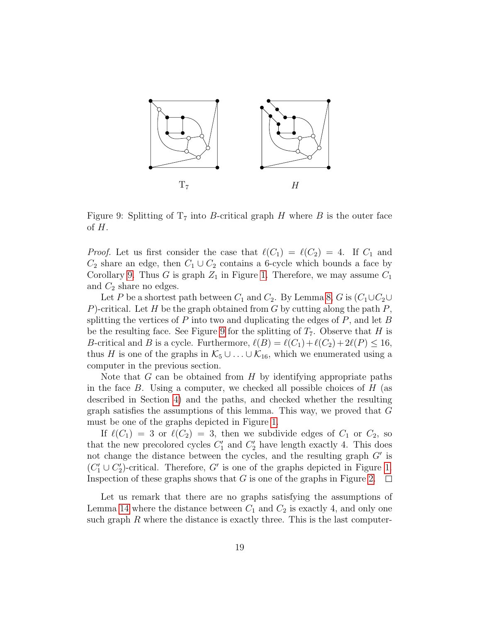

<span id="page-18-0"></span>Figure 9: Splitting of  $T_7$  into B-critical graph H where B is the outer face of  $H$ .

*Proof.* Let us first consider the case that  $\ell(C_1) = \ell(C_2) = 4$ . If  $C_1$  and  $C_2$  share an edge, then  $C_1 \cup C_2$  contains a 6-cycle which bounds a face by Corollary [9.](#page-11-3) Thus G is graph  $Z_1$  in Figure [1.](#page-5-0) Therefore, we may assume  $C_1$ and  $C_2$  share no edges.

Let P be a shortest path between  $C_1$  and  $C_2$ . By Lemma [8,](#page-10-0) G is  $(C_1 \cup C_2 \cup C_1)$ P)-critical. Let H be the graph obtained from G by cutting along the path  $P$ , splitting the vertices of  $P$  into two and duplicating the edges of  $P$ , and let  $B$ be the resulting face. See Figure [9](#page-18-0) for the splitting of  $T_7$ . Observe that H is B-critical and B is a cycle. Furthermore,  $\ell(B) = \ell(C_1)+\ell(C_2)+2\ell(P) \leq 16$ , thus H is one of the graphs in  $\mathcal{K}_5 \cup \ldots \cup \mathcal{K}_{16}$ , which we enumerated using a computer in the previous section.

Note that  $G$  can be obtained from  $H$  by identifying appropriate paths in the face  $B$ . Using a computer, we checked all possible choices of  $H$  (as described in Section [4\)](#page-11-0) and the paths, and checked whether the resulting graph satisfies the assumptions of this lemma. This way, we proved that G must be one of the graphs depicted in Figure [1.](#page-5-0)

If  $\ell(C_1) = 3$  or  $\ell(C_2) = 3$ , then we subdivide edges of  $C_1$  or  $C_2$ , so that the new precolored cycles  $C'_1$  and  $C'_2$  have length exactly 4. This does not change the distance between the cycles, and the resulting graph  $G'$  is  $(C'_1 \cup C'_2)$ -critical. Therefore, G' is one of the graphs depicted in Figure [1.](#page-5-0) Inspection of these graphs shows that  $G$  is one of the graphs in Figure [2.](#page-6-0)  $\Box$ 

Let us remark that there are no graphs satisfying the assumptions of Lemma [14](#page-17-1) where the distance between  $C_1$  and  $C_2$  is exactly 4, and only one such graph  $R$  where the distance is exactly three. This is the last computer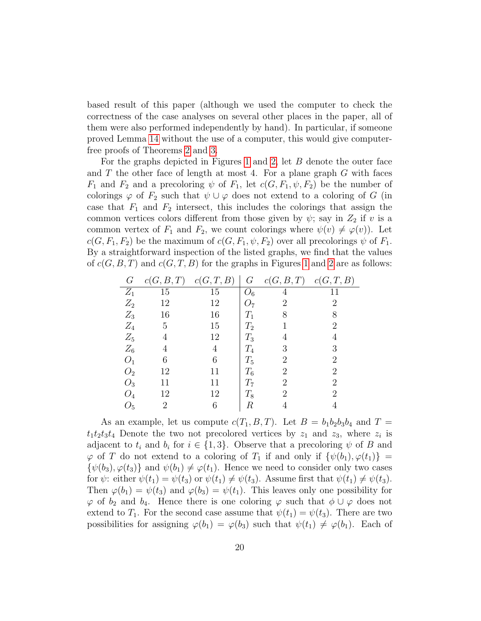based result of this paper (although we used the computer to check the correctness of the case analyses on several other places in the paper, all of them were also performed independently by hand). In particular, if someone proved Lemma [14](#page-17-1) without the use of a computer, this would give computerfree proofs of Theorems [2](#page-1-1) and [3.](#page-2-0)

For the graphs depicted in Figures [1](#page-5-0) and [2,](#page-6-0) let B denote the outer face and  $T$  the other face of length at most 4. For a plane graph  $G$  with faces  $F_1$  and  $F_2$  and a precoloring  $\psi$  of  $F_1$ , let  $c(G, F_1, \psi, F_2)$  be the number of colorings  $\varphi$  of  $F_2$  such that  $\psi \cup \varphi$  does not extend to a coloring of G (in case that  $F_1$  and  $F_2$  intersect, this includes the colorings that assign the common vertices colors different from those given by  $\psi$ ; say in  $Z_2$  if v is a common vertex of  $F_1$  and  $F_2$ , we count colorings where  $\psi(v) \neq \varphi(v)$ . Let  $c(G, F_1, F_2)$  be the maximum of  $c(G, F_1, \psi, F_2)$  over all precolorings  $\psi$  of  $F_1$ . By a straightforward inspection of the listed graphs, we find that the values of  $c(G, B, T)$  and  $c(G, T, B)$  for the graphs in Figures [1](#page-5-0) and [2](#page-6-0) are as follows:

| G              | c(G, B, T)     | c(G, T, B) | $G\$           | c(G, B, T)     | c(G, T, B)     |
|----------------|----------------|------------|----------------|----------------|----------------|
| $Z_1$          | 15             | 15         | $O_6$          | 4              |                |
| $Z_2$          | 12             | 12         | Ο7             | $\overline{2}$ | $\overline{2}$ |
| $Z_3$          | 16             | 16         | $T_1$          | 8              | 8              |
| $\mathbb{Z}_4$ | 5              | 15         | $T_2$          | 1              | $\overline{2}$ |
| $\mathbb{Z}_5$ | 4              | 12         | $T_3$          | 4              | 4              |
| $Z_6$          | 4              | 4          | $T_4$          | 3              | 3              |
| O <sub>1</sub> | 6              | 6          | $T_5$          | 2              | 2              |
| O <sub>2</sub> | 12             | 11         | $T_6$          | 2              | $\overline{2}$ |
| $O_3$          | 11             | 11         | T <sub>7</sub> | $\overline{2}$ | $\overline{2}$ |
| $O_4$          | 12             | 12         | $T_8$          | $\overline{2}$ | $\overline{2}$ |
| $O_5$          | $\overline{2}$ | 6          | R              |                |                |
|                |                |            |                |                |                |

As an example, let us compute  $c(T_1, B, T)$ . Let  $B = b_1b_2b_3b_4$  and  $T =$  $t_1t_2t_3t_4$  Denote the two not precolored vertices by  $z_1$  and  $z_3$ , where  $z_i$  is adjacent to  $t_i$  and  $b_i$  for  $i \in \{1,3\}$ . Observe that a precoloring  $\psi$  of B and  $\varphi$  of T do not extend to a coloring of T<sub>1</sub> if and only if  $\{\psi(b_1), \varphi(t_1)\}$  =  $\{\psi(b_3), \varphi(t_3)\}\$ and  $\psi(b_1) \neq \varphi(t_1)$ . Hence we need to consider only two cases for  $\psi$ : either  $\psi(t_1) = \psi(t_3)$  or  $\psi(t_1) \neq \psi(t_3)$ . Assume first that  $\psi(t_1) \neq \psi(t_3)$ . Then  $\varphi(b_1) = \psi(t_3)$  and  $\varphi(b_3) = \psi(t_1)$ . This leaves only one possibility for  $\varphi$  of  $b_2$  and  $b_4$ . Hence there is one coloring  $\varphi$  such that  $\phi \cup \varphi$  does not extend to  $T_1$ . For the second case assume that  $\psi(t_1) = \psi(t_3)$ . There are two possibilities for assigning  $\varphi(b_1) = \varphi(b_3)$  such that  $\psi(t_1) \neq \varphi(b_1)$ . Each of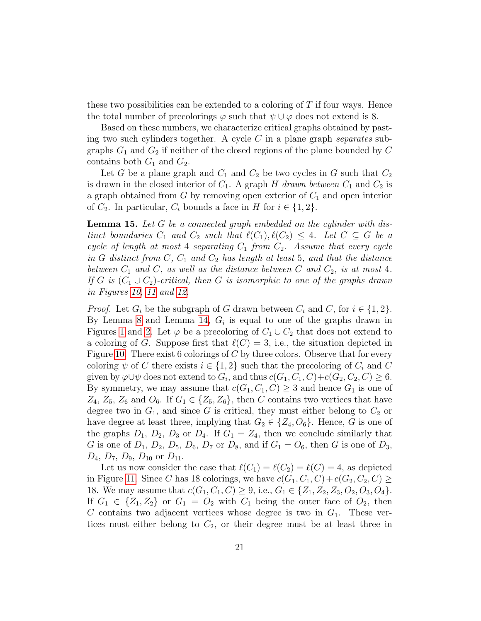these two possibilities can be extended to a coloring of  $T$  if four ways. Hence the total number of precolorings  $\varphi$  such that  $\psi \cup \varphi$  does not extend is 8.

Based on these numbers, we characterize critical graphs obtained by pasting two such cylinders together. A cycle  $C$  in a plane graph separates subgraphs  $G_1$  and  $G_2$  if neither of the closed regions of the plane bounded by  $C$ contains both  $G_1$  and  $G_2$ .

Let G be a plane graph and  $C_1$  and  $C_2$  be two cycles in G such that  $C_2$ is drawn in the closed interior of  $C_1$ . A graph H drawn between  $C_1$  and  $C_2$  is a graph obtained from  $G$  by removing open exterior of  $C_1$  and open interior of  $C_2$ . In particular,  $C_i$  bounds a face in H for  $i \in \{1,2\}$ .

<span id="page-20-0"></span>**Lemma 15.** Let  $G$  be a connected graph embedded on the cylinder with distinct boundaries  $C_1$  and  $C_2$  such that  $\ell(C_1), \ell(C_2) \leq 4$ . Let  $C \subseteq G$  be a cycle of length at most 4 separating  $C_1$  from  $C_2$ . Assume that every cycle in G distinct from  $C, C_1$  and  $C_2$  has length at least 5, and that the distance between  $C_1$  and  $C$ , as well as the distance between C and  $C_2$ , is at most 4. If G is  $(C_1 \cup C_2)$ -critical, then G is isomorphic to one of the graphs drawn in Figures [10,](#page-21-0) [11](#page-22-0) and [12.](#page-23-0)

*Proof.* Let  $G_i$  be the subgraph of G drawn between  $C_i$  and C, for  $i \in \{1,2\}$ . By Lemma [8](#page-10-0) and Lemma [14,](#page-17-1)  $G_i$  is equal to one of the graphs drawn in Figures [1](#page-5-0) and [2.](#page-6-0) Let  $\varphi$  be a precoloring of  $C_1 \cup C_2$  that does not extend to a coloring of G. Suppose first that  $\ell(C) = 3$ , i.e., the situation depicted in Figure [10.](#page-21-0) There exist 6 colorings of  $C$  by three colors. Observe that for every coloring  $\psi$  of C there exists  $i \in \{1,2\}$  such that the precoloring of  $C_i$  and C given by  $\varphi \cup \psi$  does not extend to  $G_i$ , and thus  $c(G_1, C_1, C) + c(G_2, C_2, C) \geq 6$ . By symmetry, we may assume that  $c(G_1, C_1, C) \geq 3$  and hence  $G_1$  is one of  $Z_4$ ,  $Z_5$ ,  $Z_6$  and  $O_6$ . If  $G_1 \in \{Z_5, Z_6\}$ , then C contains two vertices that have degree two in  $G_1$ , and since G is critical, they must either belong to  $C_2$  or have degree at least three, implying that  $G_2 \in \{Z_4, O_6\}$ . Hence, G is one of the graphs  $D_1$ ,  $D_2$ ,  $D_3$  or  $D_4$ . If  $G_1 = Z_4$ , then we conclude similarly that G is one of  $D_1$ ,  $D_2$ ,  $D_5$ ,  $D_6$ ,  $D_7$  or  $D_8$ , and if  $G_1 = O_6$ , then G is one of  $D_3$ ,  $D_4$ ,  $D_7$ ,  $D_9$ ,  $D_{10}$  or  $D_{11}$ .

Let us now consider the case that  $\ell(C_1) = \ell(C_2) = \ell(C) = 4$ , as depicted in Figure [11.](#page-22-0) Since C has 18 colorings, we have  $c(G_1, C_1, C) + c(G_2, C_2, C) \geq$ 18. We may assume that  $c(G_1, C_1, C) \geq 9$ , i.e.,  $G_1 \in \{Z_1, Z_2, Z_3, O_2, O_3, O_4\}$ . If  $G_1 \in \{Z_1, Z_2\}$  or  $G_1 = O_2$  with  $C_1$  being the outer face of  $O_2$ , then  $C$  contains two adjacent vertices whose degree is two in  $G_1$ . These vertices must either belong to  $C_2$ , or their degree must be at least three in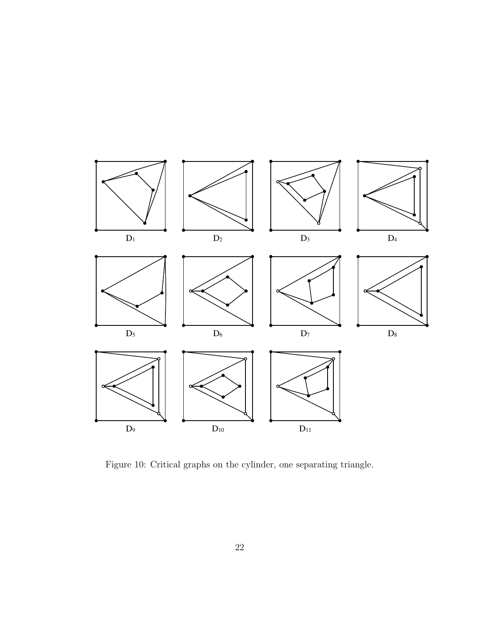

<span id="page-21-0"></span>Figure 10: Critical graphs on the cylinder, one separating triangle.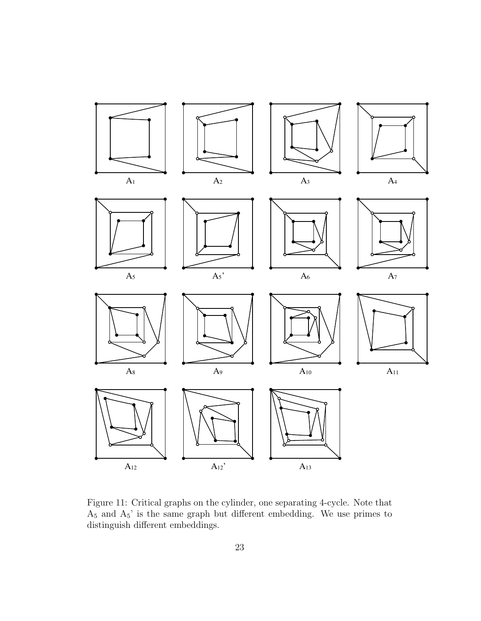

<span id="page-22-0"></span>Figure 11: Critical graphs on the cylinder, one separating 4-cycle. Note that  $A_5$  and  $A_5$ ' is the same graph but different embedding. We use primes to distinguish different embeddings.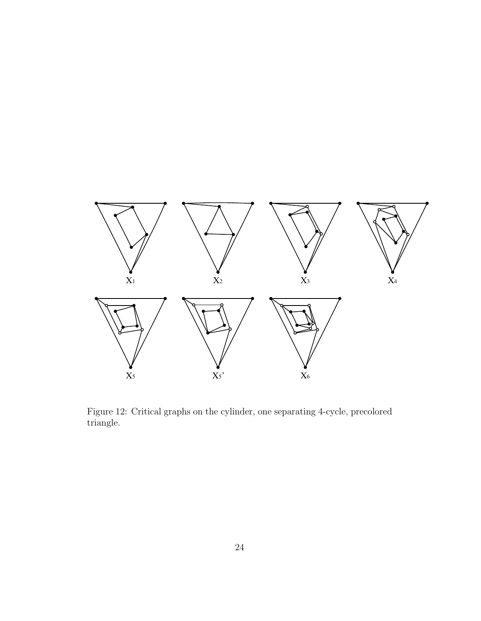

<span id="page-23-0"></span>Figure 12: Critical graphs on the cylinder, one separating 4-cycle, precolored triangle.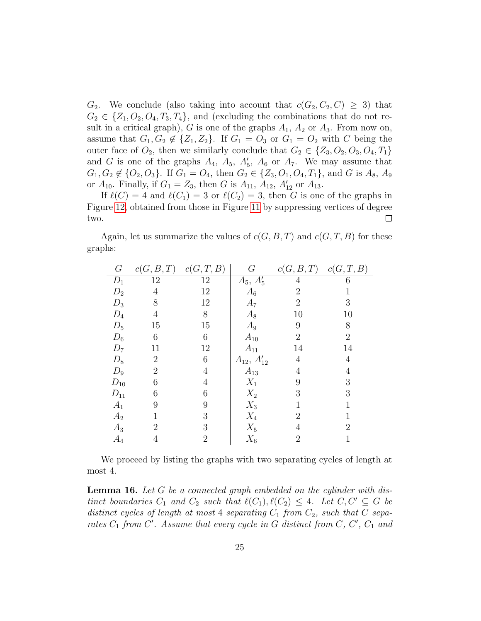$G_2$ . We conclude (also taking into account that  $c(G_2, C_2, C) \geq 3$ ) that  $G_2 \in \{Z_1, O_2, O_4, T_3, T_4\}$ , and (excluding the combinations that do not result in a critical graph), G is one of the graphs  $A_1$ ,  $A_2$  or  $A_3$ . From now on, assume that  $G_1, G_2 \notin \{Z_1, Z_2\}$ . If  $G_1 = O_3$  or  $G_1 = O_2$  with C being the outer face of  $O_2$ , then we similarly conclude that  $G_2 \in \{Z_3, O_2, O_3, O_4, T_1\}$ and G is one of the graphs  $A_4$ ,  $A_5$ ,  $A'_5$ ,  $A_6$  or  $A_7$ . We may assume that  $G_1, G_2 \notin \{O_2, O_3\}$ . If  $G_1 = O_4$ , then  $G_2 \in \{Z_3, O_1, O_4, T_1\}$ , and G is  $A_8$ ,  $A_9$ or  $A_{10}$ . Finally, if  $G_1 = Z_3$ , then G is  $A_{11}$ ,  $A_{12}$ ,  $A'_{12}$  or  $A_{13}$ .

If  $\ell(C) = 4$  and  $\ell(C_1) = 3$  or  $\ell(C_2) = 3$ , then G is one of the graphs in Figure [12,](#page-23-0) obtained from those in Figure [11](#page-22-0) by suppressing vertices of degree two.  $\Box$ 

|         |  | Again, let us summarize the values of $c(G, B, T)$ and $c(G, T, B)$ for these |  |
|---------|--|-------------------------------------------------------------------------------|--|
| graphs: |  |                                                                               |  |

| G        | c(G, B, T)     | c(G, T, B)     | $\,G\,$                | c(G, B, T)     | c(G,T,B)       |
|----------|----------------|----------------|------------------------|----------------|----------------|
| $D_1$    | 12             | 12             | $A_5, \overline{A'_5}$ | 4              | 6              |
| $D_2$    | 4              | 12             | $A_6$                  | $\overline{2}$ |                |
| $D_3$    | 8              | 12             | $A_7$                  | $\overline{2}$ | 3              |
| $D_4$    | 4              | 8              | $A_8$                  | 10             | 10             |
| $D_5$    | 15             | 15             | $A_9$                  | 9              | 8              |
| $D_6$    | 6              | 6              | $A_{10}$               | 2              | $\overline{2}$ |
| $D_7$    | 11             | 12             | $A_{11}$               | 14             | 14             |
| $D_8$    | $\overline{2}$ | 6              | $A_{12}, A'_{12}$      | 4              | 4              |
| $D_9$    | $\overline{2}$ | $\overline{4}$ | $A_{13}$               | 4              | 4              |
| $D_{10}$ | 6              | 4              | $X_1$                  | 9              | 3              |
| $D_{11}$ | 6              | 6              | $X_2$                  | 3              | 3              |
| $A_1$    | 9              | 9              | $X_3$                  |                |                |
| $A_2$    |                | 3              | $X_4$                  | 2              |                |
| $A_3$    | $\overline{2}$ | 3              | $X_5$                  | 4              | $\overline{2}$ |
| $A_4$    | 4              | $\overline{2}$ | $X_6$                  | $\overline{2}$ |                |

We proceed by listing the graphs with two separating cycles of length at most 4.

<span id="page-24-0"></span>**Lemma 16.** Let G be a connected graph embedded on the cylinder with distinct boundaries  $C_1$  and  $C_2$  such that  $\ell(C_1), \ell(C_2) \leq 4$ . Let  $C, C' \subseteq G$  be distinct cycles of length at most 4 separating  $C_1$  from  $C_2$ , such that C separates  $C_1$  from  $C'$ . Assume that every cycle in G distinct from  $C, C', C_1$  and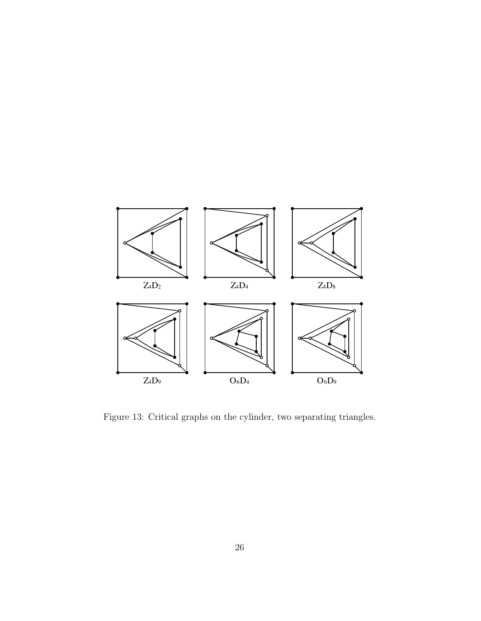

<span id="page-25-0"></span>Figure 13: Critical graphs on the cylinder, two separating triangles.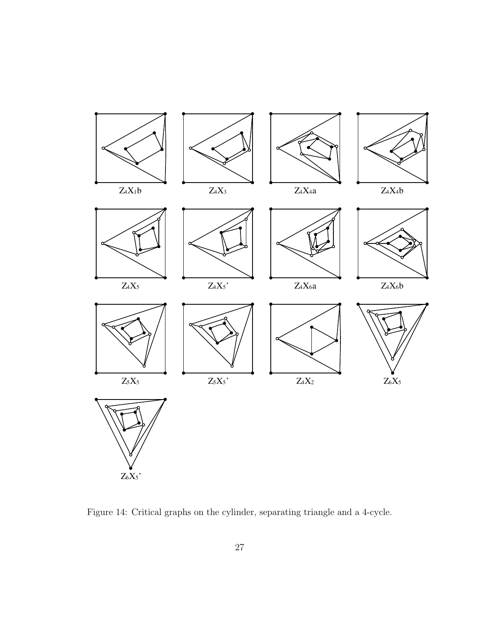

<span id="page-26-0"></span>Figure 14: Critical graphs on the cylinder, separating triangle and a 4-cycle.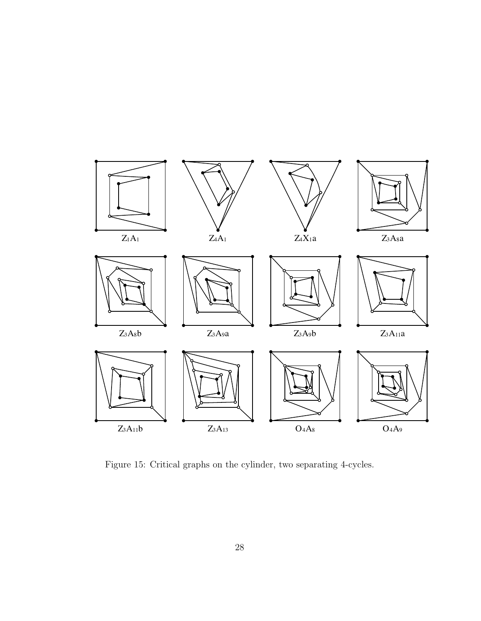

<span id="page-27-0"></span>Figure 15: Critical graphs on the cylinder, two separating 4-cycles.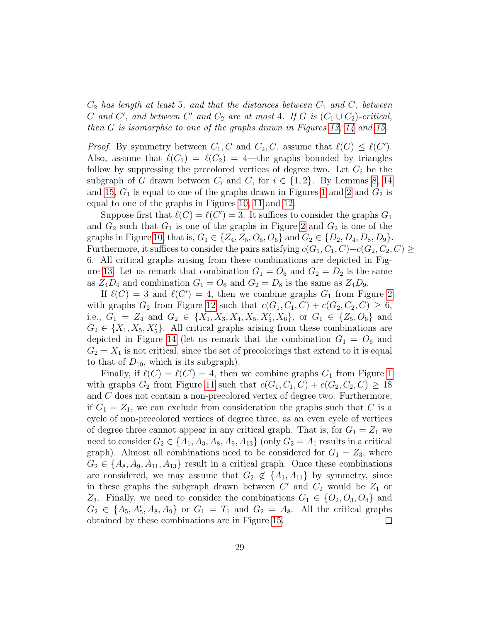$C_2$  has length at least 5, and that the distances between  $C_1$  and  $C$ , between C and C', and between C' and  $C_2$  are at most 4. If G is  $(C_1 \cup C_2)$ -critical, then G is isomorphic to one of the graphs drawn in Figures [13,](#page-25-0) [14](#page-26-0) and [15.](#page-27-0)

*Proof.* By symmetry between  $C_1, C$  and  $C_2, C$ , assume that  $\ell(C) \leq \ell(C')$ . Also, assume that  $\ell(C_1) = \ell(C_2) = 4$ —the graphs bounded by triangles follow by suppressing the precolored vertices of degree two. Let  $G_i$  be the subgraph of G drawn between  $C_i$  and C, for  $i \in \{1,2\}$ . By Lemmas [8,](#page-10-0) [14](#page-17-1) and [15,](#page-20-0)  $G_1$  is equal to one of the graphs drawn in Figures [1](#page-5-0) and [2](#page-6-0) and  $G_2$  is equal to one of the graphs in Figures [10,](#page-21-0) [11](#page-22-0) and [12.](#page-23-0)

Suppose first that  $\ell(C) = \ell(C') = 3$ . It suffices to consider the graphs  $G_1$ and  $G_2$  such that  $G_1$  is one of the graphs in Figure [2](#page-6-0) and  $G_2$  is one of the graphs in Figure [10,](#page-21-0) that is,  $G_1 \in \{Z_4, Z_5, O_5, O_6\}$  and  $G_2 \in \{D_2, D_4, D_8, D_9\}$ . Furthermore, it suffices to consider the pairs satisfying  $c(G_1, C_1, C) + c(G_2, C_2, C) \geq$ 6. All critical graphs arising from these combinations are depicted in Fig-ure [13.](#page-25-0) Let us remark that combination  $G_1 = O_6$  and  $G_2 = D_2$  is the same as  $Z_4D_4$  and combination  $G_1 = O_6$  and  $G_2 = D_8$  is the same as  $Z_4D_9$ .

If  $\ell(C) = 3$  and  $\ell(C') = 4$ , then we combine graphs  $G_1$  from Figure [2](#page-6-0) with graphs  $G_2$  from Figure [12](#page-23-0) such that  $c(G_1, C_1, C) + c(G_2, C_2, C) \geq 6$ , i.e.,  $G_1 = Z_4$  and  $G_2 \in \{X_1, X_3, X_4, X_5, X'_5, X_6\}$ , or  $G_1 \in \{Z_5, O_6\}$  and  $G_2 \in \{X_1, X_5, X_5'\}.$  All critical graphs arising from these combinations are depicted in Figure [14](#page-26-0) (let us remark that the combination  $G_1 = O_6$  and  $G_2 = X_1$  is not critical, since the set of precolorings that extend to it is equal to that of  $D_{10}$ , which is its subgraph).

Finally, if  $\ell(C) = \ell(C') = 4$ , then we combine graphs  $G_1$  from Figure [1](#page-5-0) with graphs  $G_2$  from Figure [11](#page-22-0) such that  $c(G_1, C_1, C) + c(G_2, C_2, C) \geq 18$ and C does not contain a non-precolored vertex of degree two. Furthermore, if  $G_1 = Z_1$ , we can exclude from consideration the graphs such that C is a cycle of non-precolored vertices of degree three, as an even cycle of vertices of degree three cannot appear in any critical graph. That is, for  $G_1 = Z_1$  we need to consider  $G_2 \in \{A_1, A_3, A_8, A_9, A_{13}\}$  (only  $G_2 = A_1$  results in a critical graph). Almost all combinations need to be considered for  $G_1 = Z_3$ , where  $G_2 \in \{A_8, A_9, A_{11}, A_{13}\}$  result in a critical graph. Once these combinations are considered, we may assume that  $G_2 \notin \{A_1, A_{11}\}$  by symmetry, since in these graphs the subgraph drawn between  $C'$  and  $C_2$  would be  $Z_1$  or Z<sub>3</sub>. Finally, we need to consider the combinations  $G_1 \in \{O_2, O_3, O_4\}$  and  $G_2 \in \{A_5, A_5, A_8, A_9\}$  or  $G_1 = T_1$  and  $G_2 = A_8$ . All the critical graphs obtained by these combinations are in Figure [15.](#page-27-0)  $\Box$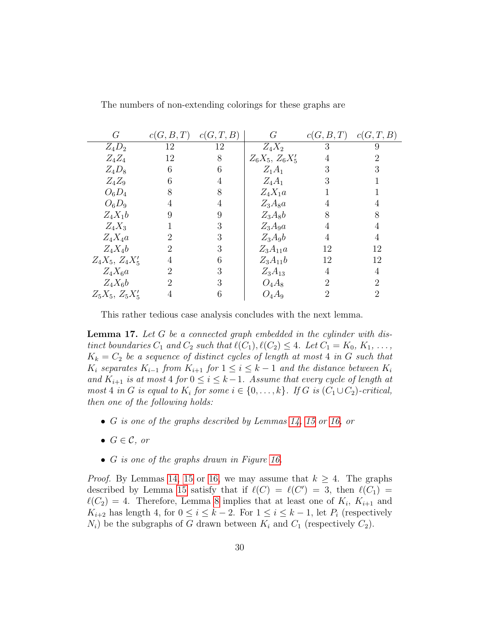|                |    |                      |                | c(G,T,B)                                    |
|----------------|----|----------------------|----------------|---------------------------------------------|
| 12             | 12 | $Z_4X_2$             | 3              | 9                                           |
| 12             | 8  | $Z_6X_5$ , $Z_6X'_5$ | 4              | 2                                           |
| 6              | 6  | $Z_1A_1$             | 3              | 3                                           |
| 6              | 4  | $Z_4A_1$             | 3              |                                             |
| 8              | 8  | $Z_4X_1a$            |                |                                             |
| 4              | 4  |                      | 4              | 4                                           |
| 9              | 9  | $Z_3A_8b$            | 8              | 8                                           |
|                | 3  | $Z_3A_9a$            | 4              | 4                                           |
| $\overline{2}$ | 3  | $Z_3A_9b$            | 4              | 4                                           |
| $\overline{2}$ | 3  | $Z_3A_{11}a$         | 12             | 12                                          |
| 4              | 6  | $Z_3A_{11}b$         | 12             | 12                                          |
| $\overline{2}$ | 3  | $Z_3A_{13}$          | 4              | 4                                           |
| $\overline{2}$ | 3  | $O_4A_8$             | $\overline{2}$ | $\overline{2}$                              |
| 4              | 6  | $O_4A_9$             | 2              | 2                                           |
|                |    |                      | $Z_3A_8a$      | c(G, B, T)<br>c(G, T, B)<br>c(G, B, T)<br>G |

The numbers of non-extending colorings for these graphs are

This rather tedious case analysis concludes with the next lemma.

<span id="page-29-0"></span>Lemma 17. Let G be a connected graph embedded in the cylinder with distinct boundaries  $C_1$  and  $C_2$  such that  $\ell(C_1), \ell(C_2) \leq 4$ . Let  $C_1 = K_0, K_1, \ldots$ ,  $K_k = C_2$  be a sequence of distinct cycles of length at most 4 in G such that  $K_i$  separates  $K_{i-1}$  from  $K_{i+1}$  for  $1 \leq i \leq k-1$  and the distance between  $K_i$ and  $K_{i+1}$  is at most 4 for  $0 \leq i \leq k-1$ . Assume that every cycle of length at most 4 in G is equal to  $K_i$  for some  $i \in \{0, \ldots, k\}$ . If G is  $(C_1 \cup C_2)$ -critical, then one of the following holds:

- G is one of the graphs described by Lemmas [14,](#page-17-1) [15](#page-20-0) or [16,](#page-24-0) or
- $G \in \mathcal{C}$ , or
- G is one of the graphs drawn in Figure [16.](#page-30-0)

*Proof.* By Lemmas [14,](#page-17-1) [15](#page-20-0) or [16,](#page-24-0) we may assume that  $k \geq 4$ . The graphs described by Lemma [15](#page-20-0) satisfy that if  $\ell(C) = \ell(C') = 3$ , then  $\ell(C_1) =$  $\ell(C_2) = 4$ . Therefore, Lemma [8](#page-10-0) implies that at least one of  $K_i$ ,  $K_{i+1}$  and  $K_{i+2}$  has length 4, for  $0 \leq i \leq k-2$ . For  $1 \leq i \leq k-1$ , let  $P_i$  (respectively  $N_i$ ) be the subgraphs of G drawn between  $K_i$  and  $C_1$  (respectively  $C_2$ ).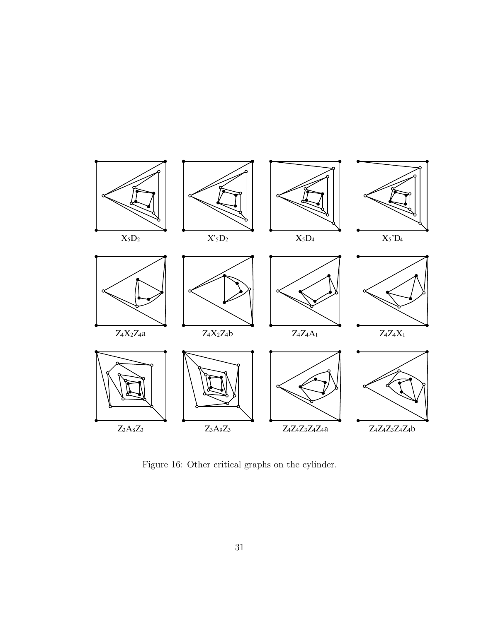

<span id="page-30-0"></span>Figure 16: Other critical graphs on the cylinder.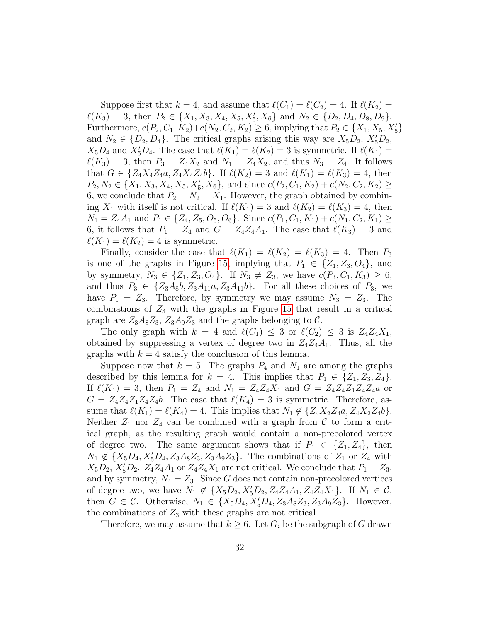Suppose first that  $k = 4$ , and assume that  $\ell(C_1) = \ell(C_2) = 4$ . If  $\ell(K_2) =$  $\ell(K_3) = 3$ , then  $P_2 \in \{X_1, X_3, X_4, X_5, X'_5, X_6\}$  and  $N_2 \in \{D_2, D_4, D_8, D_9\}.$ Furthermore,  $c(P_2, C_1, K_2)+c(N_2, C_2, K_2) \ge 6$ , implying that  $P_2 \in \{X_1, X_5, X_5'\}$ and  $N_2 \in \{D_2, D_4\}$ . The critical graphs arising this way are  $X_5D_2$ ,  $X_5'D_2$ ,  $X_5D_4$  and  $X'_5D_4$ . The case that  $\ell(K_1) = \ell(K_2) = 3$  is symmetric. If  $\ell(K_1) =$  $\ell(K_3) = 3$ , then  $P_3 = Z_4X_2$  and  $N_1 = Z_4X_2$ , and thus  $N_3 = Z_4$ . It follows that  $G \in \{Z_4X_4Z_4a, Z_4X_4Z_4b\}$ . If  $\ell(K_2) = 3$  and  $\ell(K_1) = \ell(K_3) = 4$ , then  $P_2, N_2 \in \{X_1, X_3, X_4, X_5, X'_5, X_6\}$ , and since  $c(P_2, C_1, K_2) + c(N_2, C_2, K_2) \geq$ 6, we conclude that  $P_2 = N_2 = X_1$ . However, the graph obtained by combining  $X_1$  with itself is not critical. If  $\ell(K_1) = 3$  and  $\ell(K_2) = \ell(K_3) = 4$ , then  $N_1 = Z_4A_1$  and  $P_1 \in \{Z_4, Z_5, O_5, O_6\}$ . Since  $c(P_1, C_1, K_1) + c(N_1, C_2, K_1) \geq$ 6, it follows that  $P_1 = Z_4$  and  $G = Z_4 Z_4 A_1$ . The case that  $\ell(K_3) = 3$  and  $\ell(K_1) = \ell(K_2) = 4$  is symmetric.

Finally, consider the case that  $\ell(K_1) = \ell(K_2) = \ell(K_3) = 4$ . Then  $P_3$ is one of the graphs in Figure [15,](#page-27-0) implying that  $P_1 \in \{Z_1, Z_3, O_4\}$ , and by symmetry,  $N_3 \in \{Z_1, Z_3, O_4\}$ . If  $N_3 \neq Z_3$ , we have  $c(P_3, C_1, K_3) \geq 6$ , and thus  $P_3 \in \{Z_3A_8b, Z_3A_{11}a, Z_3A_{11}b\}$ . For all these choices of  $P_3$ , we have  $P_1 = Z_3$ . Therefore, by symmetry we may assume  $N_3 = Z_3$ . The combinations of  $Z_3$  with the graphs in Figure [15](#page-27-0) that result in a critical graph are  $Z_3A_8Z_3$ ,  $Z_3A_9Z_3$  and the graphs belonging to C.

The only graph with  $k = 4$  and  $\ell(C_1) \leq 3$  or  $\ell(C_2) \leq 3$  is  $Z_4Z_4X_1$ , obtained by suppressing a vertex of degree two in  $Z_4Z_4A_1$ . Thus, all the graphs with  $k = 4$  satisfy the conclusion of this lemma.

Suppose now that  $k = 5$ . The graphs  $P_4$  and  $N_1$  are among the graphs described by this lemma for  $k = 4$ . This implies that  $P_1 \in \{Z_1, Z_3, Z_4\}$ . If  $\ell(K_1) = 3$ , then  $P_1 = Z_4$  and  $N_1 = Z_4Z_4X_1$  and  $G = Z_4Z_4Z_1Z_4Z_4$  or  $G = Z_4 Z_4 Z_1 Z_4 Z_4 b$ . The case that  $\ell(K_4) = 3$  is symmetric. Therefore, assume that  $\ell(K_1) = \ell(K_4) = 4$ . This implies that  $N_1 \notin \{Z_4X_2Z_4a, Z_4X_2Z_4b\}.$ Neither  $Z_1$  nor  $Z_4$  can be combined with a graph from C to form a critical graph, as the resulting graph would contain a non-precolored vertex of degree two. The same argument shows that if  $P_1 \in \{Z_1, Z_4\}$ , then  $N_1 \notin \{X_5D_4, X_5'D_4, Z_3A_8Z_3, Z_3A_9Z_3\}.$  The combinations of  $Z_1$  or  $Z_4$  with  $X_5D_2$ ,  $X'_5D_2$ .  $Z_4Z_4A_1$  or  $Z_4Z_4X_1$  are not critical. We conclude that  $P_1 = Z_3$ , and by symmetry,  $N_4 = Z_3$ . Since G does not contain non-precolored vertices of degree two, we have  $N_1 \notin \{X_5D_2, X_5D_2, Z_4Z_4A_1, Z_4Z_4X_1\}$ . If  $N_1 \in \mathcal{C}$ , then  $G \in \mathcal{C}$ . Otherwise,  $N_1 \in \{X_5D_4, X_5'D_4, Z_3A_8Z_3, Z_3A_9Z_3\}$ . However, the combinations of  $Z_3$  with these graphs are not critical.

Therefore, we may assume that  $k \geq 6$ . Let  $G_i$  be the subgraph of G drawn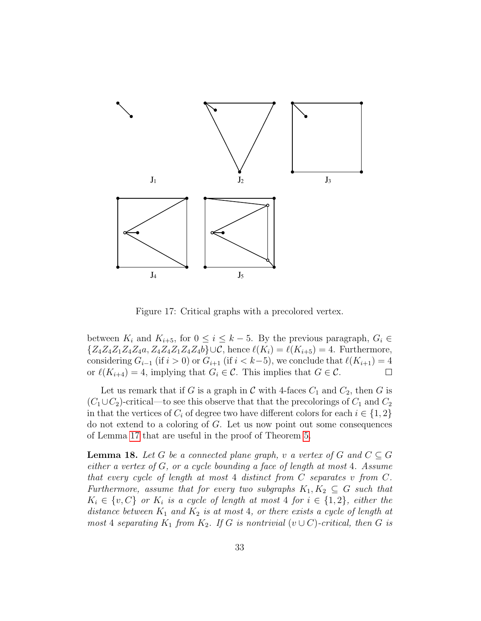

<span id="page-32-0"></span>Figure 17: Critical graphs with a precolored vertex.

between  $K_i$  and  $K_{i+5}$ , for  $0 \leq i \leq k-5$ . By the previous paragraph,  $G_i \in$  ${Z_4Z_4Z_1Z_4Z_4a, Z_4Z_4Z_1Z_4Z_4b\}\cup\mathcal{C}$ , hence  $\ell(K_i) = \ell(K_{i+5}) = 4$ . Furthermore, considering  $G_{i-1}$  (if  $i > 0$ ) or  $G_{i+1}$  (if  $i < k-5$ ), we conclude that  $\ell(K_{i+1}) = 4$ or  $\ell(K_{i+4}) = 4$ , implying that  $G_i \in \mathcal{C}$ . This implies that  $G \in \mathcal{C}$ .

Let us remark that if G is a graph in C with 4-faces  $C_1$  and  $C_2$ , then G is  $(C_1 \cup C_2)$ -critical—to see this observe that that the precolorings of  $C_1$  and  $C_2$ in that the vertices of  $C_i$  of degree two have different colors for each  $i \in \{1,2\}$ do not extend to a coloring of G. Let us now point out some consequences of Lemma [17](#page-29-0) that are useful in the proof of Theorem [5.](#page-4-0)

<span id="page-32-1"></span>**Lemma 18.** Let G be a connected plane graph, v a vertex of G and  $C \subseteq G$ either a vertex of G, or a cycle bounding a face of length at most 4. Assume that every cycle of length at most 4 distinct from C separates v from C. Furthermore, assume that for every two subgraphs  $K_1, K_2 \subseteq G$  such that  $K_i \in \{v, C\}$  or  $K_i$  is a cycle of length at most 4 for  $i \in \{1, 2\}$ , either the distance between  $K_1$  and  $K_2$  is at most 4, or there exists a cycle of length at most 4 separating  $K_1$  from  $K_2$ . If G is nontrivial  $(v \cup C)$ -critical, then G is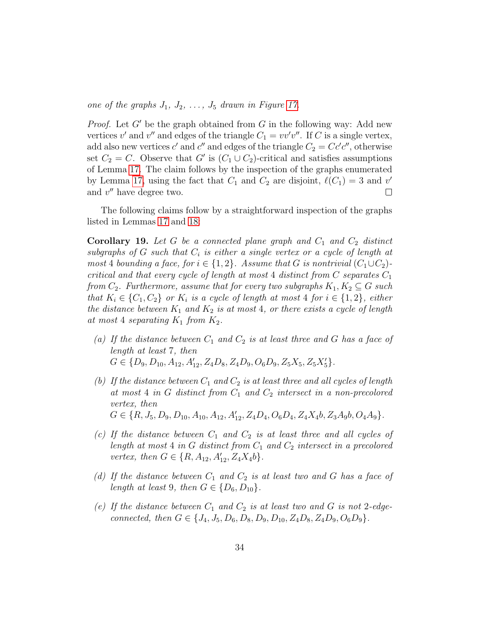one of the graphs  $J_1, J_2, \ldots, J_5$  drawn in Figure [17.](#page-32-0)

*Proof.* Let  $G'$  be the graph obtained from  $G$  in the following way: Add new vertices v' and v'' and edges of the triangle  $C_1 = vv'v''$ . If C is a single vertex, add also new vertices  $c'$  and  $c''$  and edges of the triangle  $C_2 = Cc'c''$ , otherwise set  $C_2 = C$ . Observe that G' is  $(C_1 \cup C_2)$ -critical and satisfies assumptions of Lemma [17.](#page-29-0) The claim follows by the inspection of the graphs enumerated by Lemma [17,](#page-29-0) using the fact that  $C_1$  and  $C_2$  are disjoint,  $\ell(C_1) = 3$  and v' and  $v''$  have degree two.  $\Box$ 

The following claims follow by a straightforward inspection of the graphs listed in Lemmas [17](#page-29-0) and [18:](#page-32-1)

<span id="page-33-0"></span>**Corollary 19.** Let G be a connected plane graph and  $C_1$  and  $C_2$  distinct subgraphs of G such that  $C_i$  is either a single vertex or a cycle of length at most 4 bounding a face, for  $i \in \{1,2\}$ . Assume that G is nontrivial  $(C_1 \cup C_2)$ critical and that every cycle of length at most 4 distinct from  $C$  separates  $C_1$ from  $C_2$ . Furthermore, assume that for every two subgraphs  $K_1, K_2 \subseteq G$  such that  $K_i \in \{C_1, C_2\}$  or  $K_i$  is a cycle of length at most 4 for  $i \in \{1, 2\}$ , either the distance between  $K_1$  and  $K_2$  is at most 4, or there exists a cycle of length at most 4 separating  $K_1$  from  $K_2$ .

- (a) If the distance between  $C_1$  and  $C_2$  is at least three and G has a face of length at least 7, then  $G \in \{D_9, D_{10}, A_{12}, A'_{12}, Z_4D_8, Z_4D_9, O_6D_9, Z_5X_5, Z_5X'_5\}.$
- (b) If the distance between  $C_1$  and  $C_2$  is at least three and all cycles of length at most 4 in G distinct from  $C_1$  and  $C_2$  intersect in a non-precolored vertex, then  $G \in \{R, J_5, D_9, D_{10}, A_{10}, A_{12}, A'_{12}, Z_4D_4, O_6D_4, Z_4X_4b, Z_3A_9b, O_4A_9\}.$
- (c) If the distance between  $C_1$  and  $C_2$  is at least three and all cycles of length at most  $4$  in  $G$  distinct from  $C_1$  and  $C_2$  intersect in a precolored vertex, then  $G \in \{R, A_{12}, A'_{12}, Z_4X_4b\}.$
- (d) If the distance between  $C_1$  and  $C_2$  is at least two and G has a face of length at least 9, then  $G \in \{D_6, D_{10}\}.$
- (e) If the distance between  $C_1$  and  $C_2$  is at least two and G is not 2-edgeconnected, then  $G \in \{J_4, J_5, D_6, D_8, D_9, D_{10}, Z_4D_8, Z_4D_9, O_6D_9\}.$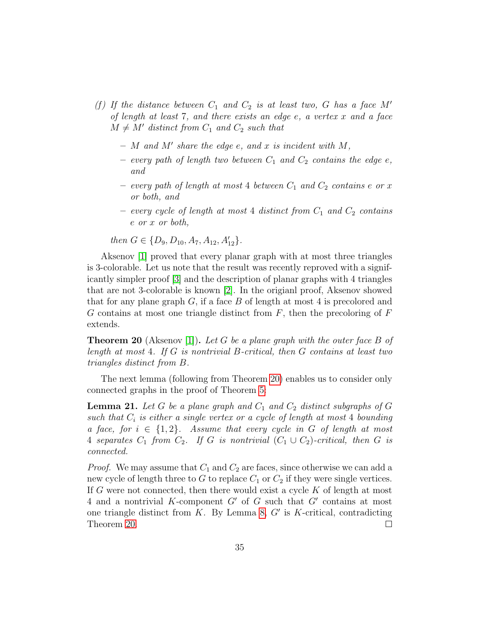- (f) If the distance between  $C_1$  and  $C_2$  is at least two, G has a face M' of length at least  $7$ , and there exists an edge  $e$ , a vertex  $x$  and a face  $M \neq M'$  distinct from  $C_1$  and  $C_2$  such that
	- $-$  M and M' share the edge e, and x is incident with M,
	- every path of length two between  $C_1$  and  $C_2$  contains the edge e, and
	- every path of length at most 4 between  $C_1$  and  $C_2$  contains e or x or both, and
	- every cycle of length at most 4 distinct from  $C_1$  and  $C_2$  contains e or x or both,

then  $G \in \{D_9, D_{10}, A_7, A_{12}, A'_{12}\}.$ 

Aksenov [\[1\]](#page-50-4) proved that every planar graph with at most three triangles is 3-colorable. Let us note that the result was recently reproved with a significantly simpler proof [\[3\]](#page-50-5) and the description of planar graphs with 4 triangles that are not 3-colorable is known [\[2\]](#page-50-6). In the origianl proof, Aksenov showed that for any plane graph  $G$ , if a face  $B$  of length at most 4 is precolored and  $G$  contains at most one triangle distinct from  $F$ , then the precoloring of  $F$ extends.

<span id="page-34-0"></span>**Theorem 20** (Aksenov [\[1\]](#page-50-4)). Let G be a plane graph with the outer face B of length at most 4. If G is nontrivial B-critical, then G contains at least two triangles distinct from B.

The next lemma (following from Theorem [20\)](#page-34-0) enables us to consider only connected graphs in the proof of Theorem [5:](#page-4-0)

<span id="page-34-1"></span>**Lemma 21.** Let G be a plane graph and  $C_1$  and  $C_2$  distinct subgraphs of G such that  $C_i$  is either a single vertex or a cycle of length at most 4 bounding a face, for  $i \in \{1,2\}$ . Assume that every cycle in G of length at most 4 separates  $C_1$  from  $C_2$ . If G is nontrivial  $(C_1 \cup C_2)$ -critical, then G is connected.

*Proof.* We may assume that  $C_1$  and  $C_2$  are faces, since otherwise we can add a new cycle of length three to G to replace  $C_1$  or  $C_2$  if they were single vertices. If G were not connected, then there would exist a cycle  $K$  of length at most 4 and a nontrivial K-component  $G'$  of  $G$  such that  $G'$  contains at most one triangle distinct from  $K$ . By Lemma [8,](#page-10-0)  $G'$  is  $K$ -critical, contradicting Theorem [20.](#page-34-0)  $\Box$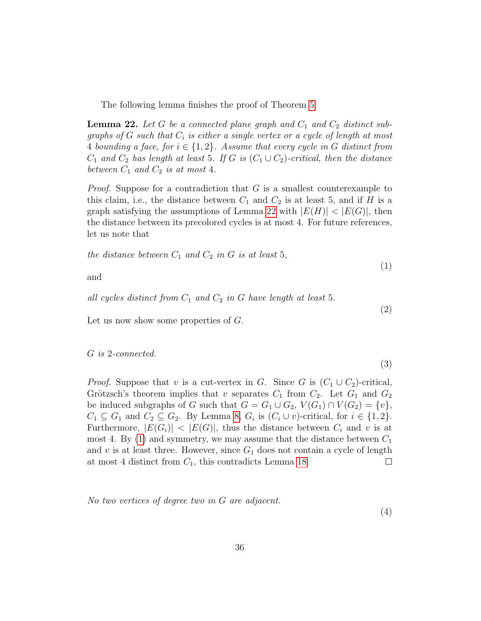The following lemma finishes the proof of Theorem [5:](#page-4-0)

<span id="page-35-0"></span>**Lemma 22.** Let G be a connected plane graph and  $C_1$  and  $C_2$  distinct subgraphs of G such that  $C_i$  is either a single vertex or a cycle of length at most 4 bounding a face, for  $i \in \{1,2\}$ . Assume that every cycle in G distinct from  $C_1$  and  $C_2$  has length at least 5. If G is  $(C_1 \cup C_2)$ -critical, then the distance between  $C_1$  and  $C_2$  is at most 4.

*Proof.* Suppose for a contradiction that  $G$  is a smallest counterexample to this claim, i.e., the distance between  $C_1$  and  $C_2$  is at least 5, and if H is a graph satisfying the assumptions of Lemma [22](#page-35-0) with  $|E(H)| < |E(G)|$ , then the distance between its precolored cycles is at most 4. For future references, let us note that

<span id="page-35-1"></span>the distance between 
$$
C_1
$$
 and  $C_2$  in  $G$  is at least 5,

and

<span id="page-35-2"></span>all cycles distinct from  $C_1$  and  $C_2$  in G have length at least 5.

Let us now show some properties of G.

<span id="page-35-3"></span>G is 2-connected.

$$
(3)
$$

(1)

(2)

*Proof.* Suppose that v is a cut-vertex in G. Since G is  $(C_1 \cup C_2)$ -critical, Grötzsch's theorem implies that v separates  $C_1$  from  $C_2$ . Let  $G_1$  and  $G_2$ be induced subgraphs of G such that  $G = G_1 \cup G_2$ ,  $V(G_1) \cap V(G_2) = \{v\},\$  $C_1 \subseteq G_1$  and  $C_2 \subseteq G_2$ . By Lemma [8,](#page-10-0)  $G_i$  is  $(C_i \cup v)$ -critical, for  $i \in \{1,2\}$ . Furthermore,  $|E(G_i)| < |E(G)|$ , thus the distance between  $C_i$  and v is at most 4. By [\(1\)](#page-35-1) and symmetry, we may assume that the distance between  $C_1$ and v is at least three. However, since  $G_1$  does not contain a cycle of length at most 4 distinct from  $C_1$ , this contradicts Lemma [18.](#page-32-1)  $\Box$ 

<span id="page-35-4"></span>No two vertices of degree two in G are adjacent.

(4)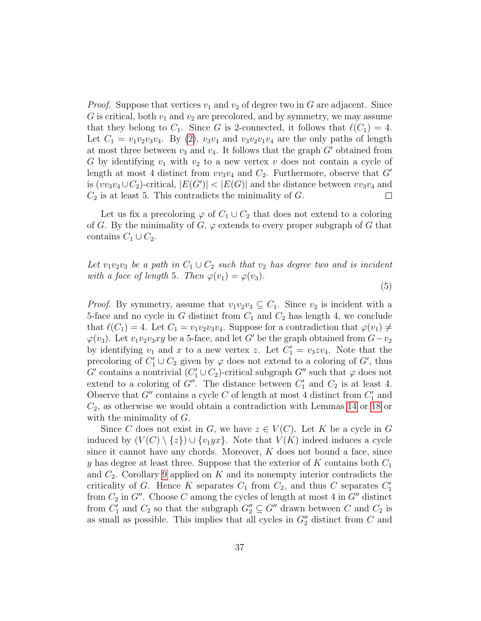*Proof.* Suppose that vertices  $v_1$  and  $v_2$  of degree two in G are adjacent. Since G is critical, both  $v_1$  and  $v_2$  are precolored, and by symmetry, we may assume that they belong to  $C_1$ . Since G is 2-connected, it follows that  $\ell(C_1) = 4$ . Let  $C_1 = v_1v_2v_3v_4$ . By [\(2\)](#page-35-2),  $v_3v_4$  and  $v_3v_2v_1v_4$  are the only paths of length at most three between  $v_3$  and  $v_4$ . It follows that the graph  $G'$  obtained from G by identifying  $v_1$  with  $v_2$  to a new vertex v does not contain a cycle of length at most 4 distinct from  $vv_3v_4$  and  $C_2$ . Furthermore, observe that  $G'$ is  $(vv_3v_4\cup C_2)$ -critical,  $|E(G')| < |E(G)|$  and the distance between  $vv_3v_4$  and  $C_2$  is at least 5. This contradicts the minimality of  $G$ .  $\Box$ 

Let us fix a precoloring  $\varphi$  of  $C_1 \cup C_2$  that does not extend to a coloring of G. By the minimality of G,  $\varphi$  extends to every proper subgraph of G that contains  $C_1 \cup C_2$ .

<span id="page-36-0"></span>Let  $v_1v_2v_3$  be a path in  $C_1\cup C_2$  such that  $v_2$  has degree two and is incident with a face of length 5. Then  $\varphi(v_1) = \varphi(v_3)$ .

(5)

*Proof.* By symmetry, assume that  $v_1v_2v_3 \subseteq C_1$ . Since  $v_2$  is incident with a 5-face and no cycle in G distinct from  $C_1$  and  $C_2$  has length 4, we conclude that  $\ell(C_1) = 4$ . Let  $C_1 = v_1v_2v_3v_4$ . Suppose for a contradiction that  $\varphi(v_1) \neq$  $\varphi(v_3)$ . Let  $v_1v_2v_3xy$  be a 5-face, and let G' be the graph obtained from  $G-v_2$ by identifying  $v_1$  and x to a new vertex z. Let  $C'_1 = v_3 z v_4$ . Note that the precoloring of  $C'_1 \cup C_2$  given by  $\varphi$  does not extend to a coloring of  $G'$ , thus  $G'$  contains a nontrivial  $(C'_1 \cup C_2)$ -critical subgraph  $G''$  such that  $\varphi$  does not extend to a coloring of  $G''$ . The distance between  $C'_1$  and  $C_2$  is at least 4. Observe that  $G''$  contains a cycle C of length at most 4 distinct from  $C'_1$  and  $C_2$ , as otherwise we would obtain a contradiction with Lemmas [14](#page-17-1) or [18](#page-32-1) or with the minimality of  $G$ .

Since C does not exist in G, we have  $z \in V(C)$ . Let K be a cycle in G induced by  $(V(C) \setminus \{z\}) \cup \{v_1yx\}$ . Note that  $V(K)$  indeed induces a cycle since it cannot have any chords. Moreover,  $K$  does not bound a face, since y has degree at least three. Suppose that the exterior of  $K$  contains both  $C_1$ and  $C_2$ . Corollary [9](#page-11-3) applied on K and its nonempty interior contradicts the criticality of G. Hence K separates  $C_1$  from  $C_2$ , and thus C separates  $C_1'$ from  $C_2$  in  $G''$ . Choose C among the cycles of length at most 4 in  $G''$  distinct from  $C'_1$  and  $C_2$  so that the subgraph  $G''_2 \subseteq G''$  drawn between C and  $C_2$  is as small as possible. This implies that all cycles in  $G_2''$  distinct from C and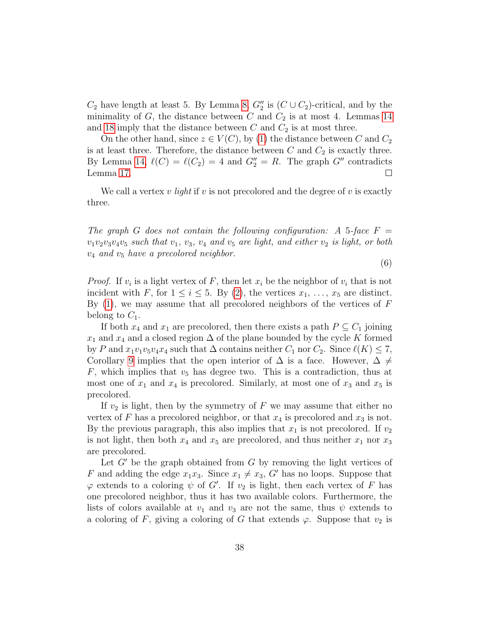$C_2$  have length at least 5. By Lemma [8,](#page-10-0)  $G_2''$  is  $(C \cup C_2)$ -critical, and by the minimality of  $G$ , the distance between  $C$  and  $C_2$  is at most 4. Lemmas [14](#page-17-1) and [18](#page-32-1) imply that the distance between  $C$  and  $C_2$  is at most three.

On the other hand, since  $z \in V(C)$ , by [\(1\)](#page-35-1) the distance between C and  $C_2$ is at least three. Therefore, the distance between  $C$  and  $C_2$  is exactly three. By Lemma [14,](#page-17-1)  $\ell(C) = \ell(C_2) = 4$  and  $G_2'' = R$ . The graph  $G''$  contradicts Lemma [17.](#page-29-0)  $\Box$ 

We call a vertex v *light* if v is not precolored and the degree of v is exactly three.

<span id="page-37-0"></span>The graph G does not contain the following configuration: A 5-face  $F =$  $v_1v_2v_3v_4v_5$  such that  $v_1$ ,  $v_3$ ,  $v_4$  and  $v_5$  are light, and either  $v_2$  is light, or both  $v_4$  and  $v_5$  have a precolored neighbor.

(6)

*Proof.* If  $v_i$  is a light vertex of F, then let  $x_i$  be the neighbor of  $v_i$  that is not incident with F, for  $1 \leq i \leq 5$ . By [\(2\)](#page-35-2), the vertices  $x_1, \ldots, x_5$  are distinct. By  $(1)$ , we may assume that all precolored neighbors of the vertices of  $F$ belong to  $C_1$ .

If both  $x_4$  and  $x_1$  are precolored, then there exists a path  $P \subseteq C_1$  joining  $x_1$  and  $x_4$  and a closed region  $\Delta$  of the plane bounded by the cycle K formed by P and  $x_1v_1v_5v_4x_4$  such that  $\Delta$  contains neither  $C_1$  nor  $C_2$ . Since  $\ell(K) \leq 7$ , Corollary [9](#page-11-3) implies that the open interior of  $\Delta$  is a face. However,  $\Delta \neq$  $F$ , which implies that  $v_5$  has degree two. This is a contradiction, thus at most one of  $x_1$  and  $x_4$  is precolored. Similarly, at most one of  $x_3$  and  $x_5$  is precolored.

If  $v_2$  is light, then by the symmetry of F we may assume that either no vertex of F has a precolored neighbor, or that  $x_4$  is precolored and  $x_3$  is not. By the previous paragraph, this also implies that  $x_1$  is not precolored. If  $v_2$ is not light, then both  $x_4$  and  $x_5$  are precolored, and thus neither  $x_1$  nor  $x_3$ are precolored.

Let  $G'$  be the graph obtained from  $G$  by removing the light vertices of F and adding the edge  $x_1x_3$ . Since  $x_1 \neq x_3$ , G' has no loops. Suppose that  $\varphi$  extends to a coloring  $\psi$  of  $G'$ . If  $v_2$  is light, then each vertex of F has one precolored neighbor, thus it has two available colors. Furthermore, the lists of colors available at  $v_1$  and  $v_3$  are not the same, thus  $\psi$  extends to a coloring of F, giving a coloring of G that extends  $\varphi$ . Suppose that  $v_2$  is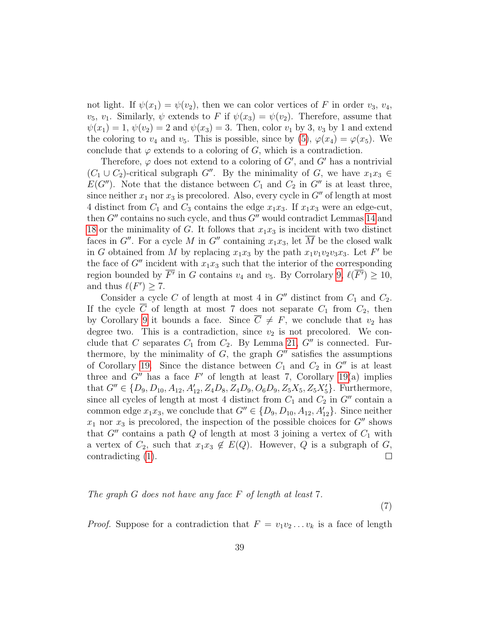not light. If  $\psi(x_1) = \psi(v_2)$ , then we can color vertices of F in order  $v_3, v_4$ ,  $v_5, v_1$ . Similarly,  $\psi$  extends to F if  $\psi(x_3) = \psi(v_2)$ . Therefore, assume that  $\psi(x_1) = 1, \psi(v_2) = 2$  and  $\psi(x_3) = 3$ . Then, color  $v_1$  by 3,  $v_3$  by 1 and extend the coloring to  $v_4$  and  $v_5$ . This is possible, since by [\(5\)](#page-36-0),  $\varphi(x_4) = \varphi(x_5)$ . We conclude that  $\varphi$  extends to a coloring of G, which is a contradiction.

Therefore,  $\varphi$  does not extend to a coloring of G', and G' has a nontrivial  $(C_1 \cup C_2)$ -critical subgraph G''. By the minimality of G, we have  $x_1x_3 \in$  $E(G'')$ . Note that the distance between  $C_1$  and  $C_2$  in  $G''$  is at least three, since neither  $x_1$  nor  $x_3$  is precolored. Also, every cycle in  $G''$  of length at most 4 distinct from  $C_1$  and  $C_3$  contains the edge  $x_1x_3$ . If  $x_1x_3$  were an edge-cut, then  $G''$  contains no such cycle, and thus  $G''$  would contradict Lemmas [14](#page-17-1) and [18](#page-32-1) or the minimality of G. It follows that  $x_1x_3$  is incident with two distinct faces in  $G''$ . For a cycle M in  $G''$  containing  $x_1x_3$ , let M be the closed walk in G obtained from M by replacing  $x_1x_3$  by the path  $x_1v_1v_2v_3x_3$ . Let F' be the face of  $G''$  incident with  $x_1x_3$  such that the interior of the corresponding region bounded by  $\overline{F'}$  in G contains  $v_4$  and  $v_5$ . By Corrolary [9,](#page-11-3)  $\ell(\overline{F'}) \ge 10$ , and thus  $\ell(F') \geq 7$ .

Consider a cycle  $C$  of length at most 4 in  $G''$  distinct from  $C_1$  and  $C_2$ . If the cycle  $\overline{C}$  of length at most 7 does not separate  $C_1$  from  $C_2$ , then by Corollary [9](#page-11-3) it bounds a face. Since  $C \neq F$ , we conclude that  $v_2$  has degree two. This is a contradiction, since  $v_2$  is not precolored. We conclude that C separates  $C_1$  from  $C_2$ . By Lemma [21,](#page-34-1)  $G''$  is connected. Furthermore, by the minimality of  $G$ , the graph  $G''$  satisfies the assumptions of Corollary [19.](#page-33-0) Since the distance between  $C_1$  and  $C_2$  in  $G''$  is at least three and  $G''$  has a face  $F'$  of length at least 7, Corollary [19\(](#page-33-0)a) implies that  $G'' \in \{D_9, D_{10}, A_{12}, A'_{12}, Z_4D_8, Z_4D_9, O_6D_9, Z_5X_5, Z_5X'_5\}$ . Furthermore, since all cycles of length at most 4 distinct from  $C_1$  and  $C_2$  in  $G''$  contain a common edge  $x_1x_3$ , we conclude that  $G'' \in \{D_9, D_{10}, A_{12}, A'_{12}\}.$  Since neither  $x_1$  nor  $x_3$  is precolored, the inspection of the possible choices for  $G''$  shows that  $G''$  contains a path Q of length at most 3 joining a vertex of  $C_1$  with a vertex of  $C_2$ , such that  $x_1x_3 \notin E(Q)$ . However, Q is a subgraph of G, contradicting [\(1\)](#page-35-1).  $\Box$ 

### <span id="page-38-0"></span>The graph G does not have any face F of length at least 7.

(7)

*Proof.* Suppose for a contradiction that  $F = v_1v_2 \ldots v_k$  is a face of length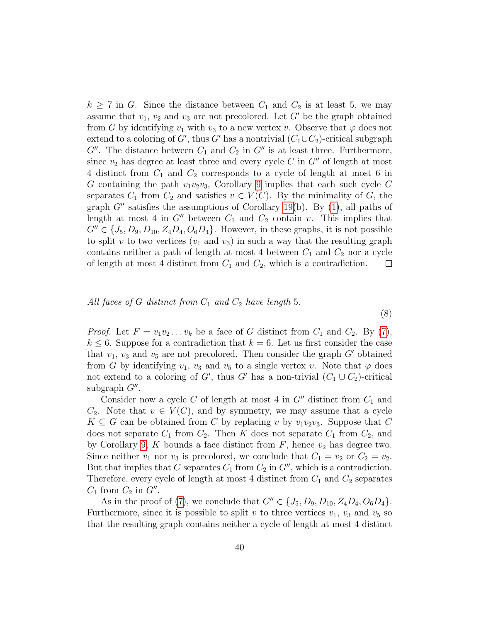$k \geq 7$  in G. Since the distance between  $C_1$  and  $C_2$  is at least 5, we may assume that  $v_1$ ,  $v_2$  and  $v_3$  are not precolored. Let  $G'$  be the graph obtained from G by identifying  $v_1$  with  $v_3$  to a new vertex v. Observe that  $\varphi$  does not extend to a coloring of  $G'$ , thus  $G'$  has a nontrivial  $(C_1\cup C_2)$ -critical subgraph  $G''$ . The distance between  $C_1$  and  $C_2$  in  $G''$  is at least three. Furthermore, since  $v_2$  has degree at least three and every cycle C in  $G''$  of length at most 4 distinct from  $C_1$  and  $C_2$  corresponds to a cycle of length at most 6 in G containing the path  $v_1v_2v_3$ , Corollary [9](#page-11-3) implies that each such cycle C separates  $C_1$  from  $C_2$  and satisfies  $v \in V(C)$ . By the minimality of G, the graph  $G''$  satisfies the assumptions of Corollary [19\(](#page-33-0)b). By [\(1\)](#page-35-1), all paths of length at most 4 in  $G''$  between  $C_1$  and  $C_2$  contain v. This implies that  $G'' \in \{J_5, D_9, D_{10}, Z_4D_4, O_6D_4\}.$  However, in these graphs, it is not possible to split v to two vertices  $(v_1 \text{ and } v_3)$  in such a way that the resulting graph contains neither a path of length at most 4 between  $C_1$  and  $C_2$  nor a cycle of length at most 4 distinct from  $C_1$  and  $C_2$ , which is a contradiction.  $\Box$ 

### <span id="page-39-0"></span>All faces of G distinct from  $C_1$  and  $C_2$  have length 5.

*Proof.* Let  $F = v_1v_2...v_k$  be a face of G distinct from  $C_1$  and  $C_2$ . By [\(7\)](#page-38-0),  $k \leq 6$ . Suppose for a contradiction that  $k = 6$ . Let us first consider the case that  $v_1$ ,  $v_3$  and  $v_5$  are not precolored. Then consider the graph G' obtained from G by identifying  $v_1$ ,  $v_3$  and  $v_5$  to a single vertex v. Note that  $\varphi$  does not extend to a coloring of G', thus G' has a non-trivial  $(C_1 \cup C_2)$ -critical  $subgraph G''$ .

(8)

Consider now a cycle C of length at most 4 in  $G''$  distinct from  $C_1$  and  $C_2$ . Note that  $v \in V(C)$ , and by symmetry, we may assume that a cycle  $K \subseteq G$  can be obtained from C by replacing v by  $v_1v_2v_3$ . Suppose that C does not separate  $C_1$  from  $C_2$ . Then K does not separate  $C_1$  from  $C_2$ , and by Corollary [9,](#page-11-3) K bounds a face distinct from  $F$ , hence  $v_2$  has degree two. Since neither  $v_1$  nor  $v_3$  is precolored, we conclude that  $C_1 = v_2$  or  $C_2 = v_2$ . But that implies that C separates  $C_1$  from  $C_2$  in  $G''$ , which is a contradiction. Therefore, every cycle of length at most 4 distinct from  $C_1$  and  $C_2$  separates  $C_1$  from  $C_2$  in  $G''$ .

As in the proof of [\(7\)](#page-38-0), we conclude that  $G'' \in \{J_5, D_9, D_{10}, Z_4D_4, O_6D_4\}.$ Furthermore, since it is possible to split v to three vertices  $v_1$ ,  $v_3$  and  $v_5$  so that the resulting graph contains neither a cycle of length at most 4 distinct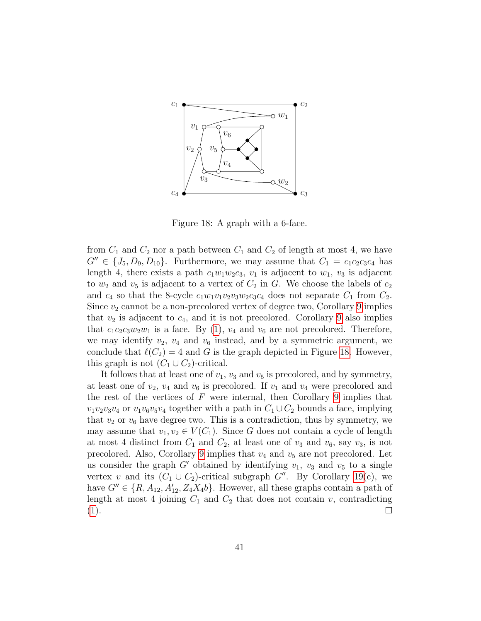

<span id="page-40-0"></span>Figure 18: A graph with a 6-face.

from  $C_1$  and  $C_2$  nor a path between  $C_1$  and  $C_2$  of length at most 4, we have  $G'' \in \{J_5, D_9, D_{10}\}.$  Furthermore, we may assume that  $C_1 = c_1c_2c_3c_4$  has length 4, there exists a path  $c_1w_1w_2c_3$ ,  $v_1$  is adjacent to  $w_1$ ,  $v_3$  is adjacent to  $w_2$  and  $v_5$  is adjacent to a vertex of  $C_2$  in G. We choose the labels of  $c_2$ and  $c_4$  so that the 8-cycle  $c_1w_1v_1v_2v_3w_2c_3c_4$  does not separate  $C_1$  from  $C_2$ . Since  $v_2$  cannot be a non-precolored vertex of degree two, Corollary [9](#page-11-3) implies that  $v_2$  is adjacent to  $c_4$ , and it is not precolored. Corollary [9](#page-11-3) also implies that  $c_1c_2c_3w_2w_1$  is a face. By [\(1\)](#page-35-1),  $v_4$  and  $v_6$  are not precolored. Therefore, we may identify  $v_2$ ,  $v_4$  and  $v_6$  instead, and by a symmetric argument, we conclude that  $\ell(C_2) = 4$  and G is the graph depicted in Figure [18.](#page-40-0) However, this graph is not  $(C_1 \cup C_2)$ -critical.

It follows that at least one of  $v_1$ ,  $v_3$  and  $v_5$  is precolored, and by symmetry, at least one of  $v_2$ ,  $v_4$  and  $v_6$  is precolored. If  $v_1$  and  $v_4$  were precolored and the rest of the vertices of  $F$  were internal, then Corollary [9](#page-11-3) implies that  $v_1v_2v_3v_4$  or  $v_1v_6v_5v_4$  together with a path in  $C_1 \cup C_2$  bounds a face, implying that  $v_2$  or  $v_6$  have degree two. This is a contradiction, thus by symmetry, we may assume that  $v_1, v_2 \in V(C_1)$ . Since G does not contain a cycle of length at most 4 distinct from  $C_1$  and  $C_2$ , at least one of  $v_3$  and  $v_6$ , say  $v_3$ , is not precolored. Also, Corollary [9](#page-11-3) implies that  $v_4$  and  $v_5$  are not precolored. Let us consider the graph  $G'$  obtained by identifying  $v_1$ ,  $v_3$  and  $v_5$  to a single vertex v and its  $(C_1 \cup C_2)$ -critical subgraph  $G''$ . By Corollary [19\(](#page-33-0)c), we have  $G'' \in \{R, A_{12}, A'_{12}, Z_4X_4b\}$ . However, all these graphs contain a path of length at most 4 joining  $C_1$  and  $C_2$  that does not contain v, contradicting  $(1).$  $(1).$  $\Box$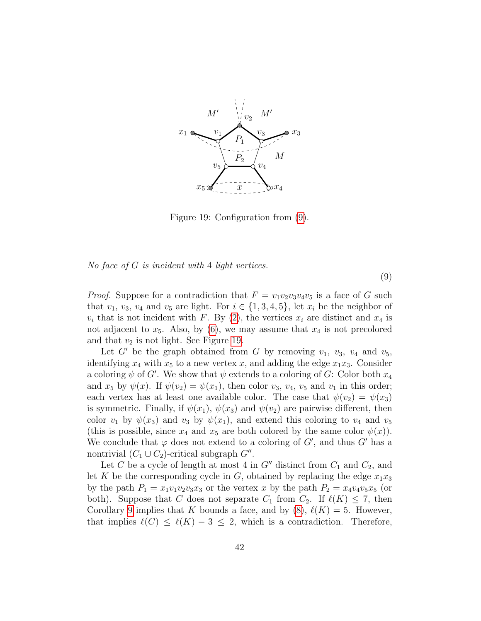

<span id="page-41-1"></span>Figure 19: Configuration from [\(9\)](#page-41-0).

<span id="page-41-0"></span>No face of  $G$  is incident with 4 light vertices.

*Proof.* Suppose for a contradiction that  $F = v_1v_2v_3v_4v_5$  is a face of G such that  $v_1, v_3, v_4$  and  $v_5$  are light. For  $i \in \{1, 3, 4, 5\}$ , let  $x_i$  be the neighbor of  $v_i$  that is not incident with F. By [\(2\)](#page-35-2), the vertices  $x_i$  are distinct and  $x_4$  is not adjacent to  $x_5$ . Also, by [\(6\)](#page-37-0), we may assume that  $x_4$  is not precolored and that  $v_2$  is not light. See Figure [19.](#page-41-1)

(9)

Let  $G'$  be the graph obtained from G by removing  $v_1$ ,  $v_3$ ,  $v_4$  and  $v_5$ , identifying  $x_4$  with  $x_5$  to a new vertex x, and adding the edge  $x_1x_3$ . Consider a coloring  $\psi$  of  $G'$ . We show that  $\psi$  extends to a coloring of  $G$ : Color both  $x_4$ and  $x_5$  by  $\psi(x)$ . If  $\psi(v_2) = \psi(x_1)$ , then color  $v_3$ ,  $v_4$ ,  $v_5$  and  $v_1$  in this order; each vertex has at least one available color. The case that  $\psi(v_2) = \psi(x_3)$ is symmetric. Finally, if  $\psi(x_1)$ ,  $\psi(x_3)$  and  $\psi(v_2)$  are pairwise different, then color  $v_1$  by  $\psi(x_3)$  and  $v_3$  by  $\psi(x_1)$ , and extend this coloring to  $v_4$  and  $v_5$ (this is possible, since  $x_4$  and  $x_5$  are both colored by the same color  $\psi(x)$ ). We conclude that  $\varphi$  does not extend to a coloring of  $G'$ , and thus  $G'$  has a nontrivial  $(C_1 \cup C_2)$ -critical subgraph  $G''$ .

Let C be a cycle of length at most 4 in  $G''$  distinct from  $C_1$  and  $C_2$ , and let K be the corresponding cycle in G, obtained by replacing the edge  $x_1x_3$ by the path  $P_1 = x_1v_1v_2v_3x_3$  or the vertex x by the path  $P_2 = x_4v_4v_5x_5$  (or both). Suppose that C does not separate  $C_1$  from  $C_2$ . If  $\ell(K) \leq 7$ , then Corollary [9](#page-11-3) implies that K bounds a face, and by  $(8)$ ,  $\ell(K) = 5$ . However, that implies  $\ell(C) \leq \ell(K) - 3 \leq 2$ , which is a contradiction. Therefore,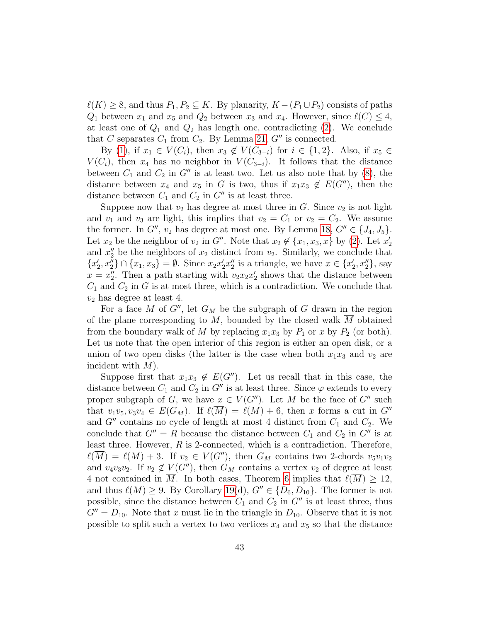$\ell(K) \geq 8$ , and thus  $P_1, P_2 \subseteq K$ . By planarity,  $K - (P_1 \cup P_2)$  consists of paths  $Q_1$  between  $x_1$  and  $x_5$  and  $Q_2$  between  $x_3$  and  $x_4$ . However, since  $\ell(C) \leq 4$ , at least one of  $Q_1$  and  $Q_2$  has length one, contradicting  $(2)$ . We conclude that C separates  $C_1$  from  $C_2$ . By Lemma [21,](#page-34-1) G'' is connected.

By [\(1\)](#page-35-1), if  $x_1 \in V(C_i)$ , then  $x_3 \notin V(C_{3-i})$  for  $i \in \{1,2\}$ . Also, if  $x_5 \in$  $V(C_i)$ , then  $x_4$  has no neighbor in  $V(C_{3-i})$ . It follows that the distance between  $C_1$  and  $C_2$  in  $G''$  is at least two. Let us also note that by [\(8\)](#page-39-0), the distance between  $x_4$  and  $x_5$  in G is two, thus if  $x_1x_3 \notin E(G'')$ , then the distance between  $C_1$  and  $C_2$  in  $G''$  is at least three.

Suppose now that  $v_2$  has degree at most three in G. Since  $v_2$  is not light and  $v_1$  and  $v_3$  are light, this implies that  $v_2 = C_1$  or  $v_2 = C_2$ . We assume the former. In  $G''$ ,  $v_2$  has degree at most one. By Lemma [18,](#page-32-1)  $G'' \in \{J_4, J_5\}$ . Let  $x_2$  be the neighbor of  $v_2$  in G''. Note that  $x_2 \notin \{x_1, x_3, x\}$  by [\(2\)](#page-35-2). Let  $x_2'$ and  $x_2''$  be the neighbors of  $x_2$  distinct from  $v_2$ . Similarly, we conclude that  ${x'_2, x''_2} \cap {x_1, x_3} = \emptyset$ . Since  $x_2x'_2x''_2$  is a triangle, we have  $x \in {x'_2, x''_2}$ , say  $x = x_2''$ . Then a path starting with  $v_2 x_2 x_2'$  shows that the distance between  $C_1$  and  $C_2$  in G is at most three, which is a contradiction. We conclude that  $v_2$  has degree at least 4.

For a face M of G'', let  $G_M$  be the subgraph of G drawn in the region of the plane corresponding to  $M$ , bounded by the closed walk  $M$  obtained from the boundary walk of M by replacing  $x_1x_3$  by  $P_1$  or x by  $P_2$  (or both). Let us note that the open interior of this region is either an open disk, or a union of two open disks (the latter is the case when both  $x_1x_3$  and  $v_2$  are incident with  $M$ ).

Suppose first that  $x_1x_3 \notin E(G'')$ . Let us recall that in this case, the distance between  $C_1$  and  $C_2$  in G'' is at least three. Since  $\varphi$  extends to every proper subgraph of G, we have  $x \in V(G'')$ . Let M be the face of G'' such that  $v_1v_5, v_3v_4 \in E(G_M)$ . If  $\ell(\overline{M}) = \ell(M) + 6$ , then x forms a cut in  $G''$ and  $G''$  contains no cycle of length at most 4 distinct from  $C_1$  and  $C_2$ . We conclude that  $G'' = R$  because the distance between  $C_1$  and  $C_2$  in  $G''$  is at least three. However, R is 2-connected, which is a contradiction. Therefore,  $\ell(\overline{M}) = \ell(M) + 3$ . If  $v_2 \in V(G'')$ , then  $G_M$  contains two 2-chords  $v_5v_1v_2$ and  $v_4v_3v_2$ . If  $v_2 \notin V(G'')$ , then  $G_M$  contains a vertex  $v_2$  of degree at least 4 not contained in  $\overline{M}$ . In both cases, Theorem [6](#page-7-1) implies that  $\ell(\overline{M}) \geq 12$ , and thus  $\ell(M) \geq 9$ . By Corollary [19\(](#page-33-0)d),  $G'' \in \{D_6, D_{10}\}.$  The former is not possible, since the distance between  $C_1$  and  $C_2$  in  $G''$  is at least three, thus  $G'' = D_{10}$ . Note that x must lie in the triangle in  $D_{10}$ . Observe that it is not possible to split such a vertex to two vertices  $x_4$  and  $x_5$  so that the distance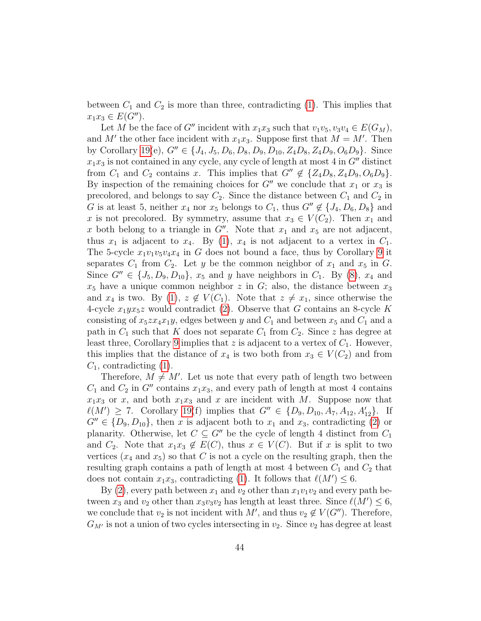between  $C_1$  and  $C_2$  is more than three, contradicting [\(1\)](#page-35-1). This implies that  $x_1x_3 \in E(G'').$ 

Let M be the face of G'' incident with  $x_1x_3$  such that  $v_1v_5, v_3v_4 \in E(G_M)$ , and M' the other face incident with  $x_1x_3$ . Suppose first that  $M = M'$ . Then by Corollary [19\(](#page-33-0)e),  $G'' \in \{J_4, J_5, D_6, D_8, D_9, D_{10}, Z_4D_8, Z_4D_9, O_6D_9\}$ . Since  $x_1x_3$  is not contained in any cycle, any cycle of length at most 4 in  $G''$  distinct from  $C_1$  and  $C_2$  contains x. This implies that  $G'' \notin \{Z_4D_8, Z_4D_9, O_6D_9\}.$ By inspection of the remaining choices for  $G''$  we conclude that  $x_1$  or  $x_3$  is precolored, and belongs to say  $C_2$ . Since the distance between  $C_1$  and  $C_2$  in G is at least 5, neither  $x_4$  nor  $x_5$  belongs to  $C_1$ , thus  $G'' \notin \{J_4, D_6, D_8\}$  and x is not precolored. By symmetry, assume that  $x_3 \in V(C_2)$ . Then  $x_1$  and x both belong to a triangle in  $G''$ . Note that  $x_1$  and  $x_5$  are not adjacent, thus  $x_1$  is adjacent to  $x_4$ . By [\(1\)](#page-35-1),  $x_4$  is not adjacent to a vertex in  $C_1$ . The 5-cycle  $x_1v_1v_5v_4x_4$  in G does not bound a face, thus by Corollary [9](#page-11-3) it separates  $C_1$  from  $C_2$ . Let y be the common neighbor of  $x_1$  and  $x_5$  in  $G$ . Since  $G'' \in \{J_5, D_9, D_{10}\}, x_5$  and y have neighbors in  $C_1$ . By [\(8\)](#page-39-0),  $x_4$  and  $x_5$  have a unique common neighbor z in G; also, the distance between  $x_3$ and  $x_4$  is two. By [\(1\)](#page-35-1),  $z \notin V(C_1)$ . Note that  $z \neq x_1$ , since otherwise the 4-cycle  $x_1yx_5z$  would contradict [\(2\)](#page-35-2). Observe that G contains an 8-cycle K consisting of  $x_5z x_4x_1y$ , edges between y and  $C_1$  and between  $x_5$  and  $C_1$  and a path in  $C_1$  such that K does not separate  $C_1$  from  $C_2$ . Since z has degree at least three, Corollary [9](#page-11-3) implies that z is adjacent to a vertex of  $C_1$ . However, this implies that the distance of  $x_4$  is two both from  $x_3 \in V(C_2)$  and from  $C_1$ , contradicting [\(1\)](#page-35-1).

Therefore,  $M \neq M'$ . Let us note that every path of length two between  $C_1$  and  $C_2$  in  $G''$  contains  $x_1x_3$ , and every path of length at most 4 contains  $x_1x_3$  or x, and both  $x_1x_3$  and x are incident with M. Suppose now that  $\ell(M') \geq 7$ . Corollary [19\(](#page-33-0)f) implies that  $G'' \in \{D_9, D_{10}, A_7, A_{12}, A'_{12}\}$ . If  $G'' \in \{D_9, D_{10}\},\$  then x is adjacent both to  $x_1$  and  $x_3$ , contradicting [\(2\)](#page-35-2) or planarity. Otherwise, let  $C \subseteq G''$  be the cycle of length 4 distinct from  $C_1$ and  $C_2$ . Note that  $x_1x_3 \notin E(C)$ , thus  $x \in V(C)$ . But if x is split to two vertices  $(x_4 \text{ and } x_5)$  so that C is not a cycle on the resulting graph, then the resulting graph contains a path of length at most 4 between  $C_1$  and  $C_2$  that does not contain  $x_1x_3$ , contradicting [\(1\)](#page-35-1). It follows that  $\ell(M') \leq 6$ .

By [\(2\)](#page-35-2), every path between  $x_1$  and  $v_2$  other than  $x_1v_1v_2$  and every path between  $x_3$  and  $v_2$  other than  $x_3v_3v_2$  has length at least three. Since  $\ell(M') \leq 6$ , we conclude that  $v_2$  is not incident with M', and thus  $v_2 \notin V(G'')$ . Therefore,  $G_{M'}$  is not a union of two cycles intersecting in  $v_2$ . Since  $v_2$  has degree at least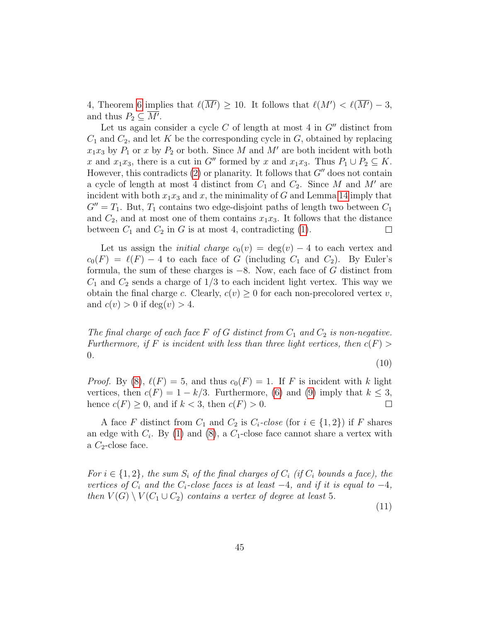4, Theorem [6](#page-7-1) implies that  $\ell(M') \geq 10$ . It follows that  $\ell(M') < \ell(M') - 3$ , and thus  $P_2 \subseteq \overline{M'}$ .

Let us again consider a cycle  $C$  of length at most 4 in  $G''$  distinct from  $C_1$  and  $C_2$ , and let K be the corresponding cycle in G, obtained by replacing  $x_1x_3$  by  $P_1$  or x by  $P_2$  or both. Since M and M' are both incident with both x and  $x_1x_3$ , there is a cut in G<sup>'''</sup> formed by x and  $x_1x_3$ . Thus  $P_1 \cup P_2 \subseteq K$ . However, this contradicts [\(2\)](#page-35-2) or planarity. It follows that  $G''$  does not contain a cycle of length at most 4 distinct from  $C_1$  and  $C_2$ . Since M and M' are incident with both  $x_1x_3$  and x, the minimality of G and Lemma [14](#page-17-1) imply that  $G'' = T_1$ . But,  $T_1$  contains two edge-disjoint paths of length two between  $C_1$ and  $C_2$ , and at most one of them contains  $x_1x_3$ . It follows that the distance between  $C_1$  and  $C_2$  in G is at most 4, contradicting [\(1\)](#page-35-1).  $\Box$ 

Let us assign the *initial charge*  $c_0(v) = \deg(v) - 4$  to each vertex and  $c_0(F) = \ell(F) - 4$  to each face of G (including  $C_1$  and  $C_2$ ). By Euler's formula, the sum of these charges is  $-8$ . Now, each face of G distinct from  $C_1$  and  $C_2$  sends a charge of  $1/3$  to each incident light vertex. This way we obtain the final charge c. Clearly,  $c(v) \geq 0$  for each non-precolored vertex v, and  $c(v) > 0$  if  $deg(v) > 4$ .

<span id="page-44-0"></span>The final charge of each face F of G distinct from  $C_1$  and  $C_2$  is non-negative. Furthermore, if F is incident with less than three light vertices, then  $c(F)$ 0.

$$
(10)
$$

*Proof.* By [\(8\)](#page-39-0),  $\ell(F) = 5$ , and thus  $c_0(F) = 1$ . If F is incident with k light vertices, then  $c(F) = 1 - k/3$ . Furthermore, [\(6\)](#page-37-0) and [\(9\)](#page-41-0) imply that  $k \leq 3$ , hence  $c(F) \geq 0$ , and if  $k < 3$ , then  $c(F) > 0$ .  $\Box$ 

A face F distinct from  $C_1$  and  $C_2$  is  $C_i$ -close (for  $i \in \{1,2\}$ ) if F shares an edge with  $C_i$ . By [\(1\)](#page-35-1) and [\(8\)](#page-39-0), a  $C_1$ -close face cannot share a vertex with a  $C_2$ -close face.

<span id="page-44-1"></span>For  $i \in \{1,2\}$ , the sum  $S_i$  of the final charges of  $C_i$  (if  $C_i$  bounds a face), the vertices of  $C_i$  and the  $C_i$ -close faces is at least  $-4$ , and if it is equal to  $-4$ , then  $V(G) \setminus V(C_1 \cup C_2)$  contains a vertex of degree at least 5.

(11)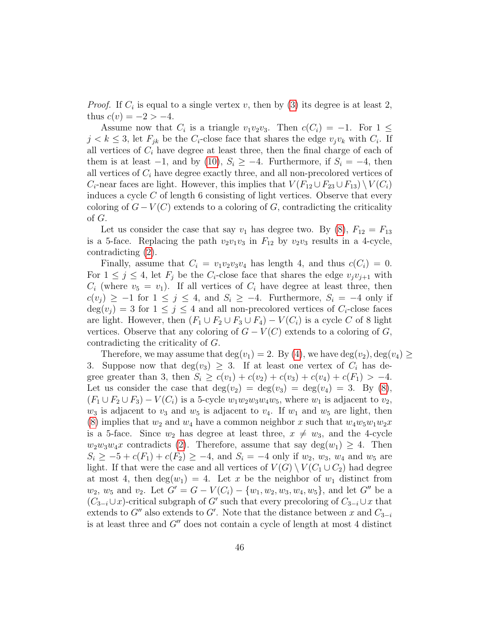*Proof.* If  $C_i$  is equal to a single vertex v, then by [\(3\)](#page-35-3) its degree is at least 2, thus  $c(v) = -2 > -4$ .

Assume now that  $C_i$  is a triangle  $v_1v_2v_3$ . Then  $c(C_i) = -1$ . For  $1 \leq$  $j < k \leq 3$ , let  $F_{jk}$  be the  $C_i$ -close face that shares the edge  $v_jv_k$  with  $C_i$ . If all vertices of  $C_i$  have degree at least three, then the final charge of each of them is at least  $-1$ , and by [\(10\)](#page-44-0),  $S_i \geq -4$ . Furthermore, if  $S_i = -4$ , then all vertices of  $C_i$  have degree exactly three, and all non-precolored vertices of  $C_i$ -near faces are light. However, this implies that  $V(F_{12} \cup F_{23} \cup F_{13}) \setminus V(C_i)$ induces a cycle  $C$  of length 6 consisting of light vertices. Observe that every coloring of  $G - V(C)$  extends to a coloring of G, contradicting the criticality of G.

Let us consider the case that say  $v_1$  has degree two. By [\(8\)](#page-39-0),  $F_{12} = F_{13}$ is a 5-face. Replacing the path  $v_2v_1v_3$  in  $F_{12}$  by  $v_2v_3$  results in a 4-cycle, contradicting [\(2\)](#page-35-2).

Finally, assume that  $C_i = v_1v_2v_3v_4$  has length 4, and thus  $c(C_i) = 0$ . For  $1 \leq j \leq 4$ , let  $F_j$  be the  $C_i$ -close face that shares the edge  $v_jv_{j+1}$  with  $C_i$  (where  $v_5 = v_1$ ). If all vertices of  $C_i$  have degree at least three, then  $c(v_j) \geq -1$  for  $1 \leq j \leq 4$ , and  $S_i \geq -4$ . Furthermore,  $S_i = -4$  only if  $deg(v_i) = 3$  for  $1 \leq j \leq 4$  and all non-precolored vertices of  $C_i$ -close faces are light. However, then  $(F_1 \cup F_2 \cup F_3 \cup F_4) - V(C_i)$  is a cycle C of 8 light vertices. Observe that any coloring of  $G - V(C)$  extends to a coloring of G, contradicting the criticality of G.

Therefore, we may assume that  $\deg(v_1) = 2$ . By [\(4\)](#page-35-4), we have  $\deg(v_2)$ ,  $\deg(v_4) \ge$ 3. Suppose now that  $deg(v_3) \geq 3$ . If at least one vertex of  $C_i$  has degree greater than 3, then  $S_i \geq c(v_1) + c(v_2) + c(v_3) + c(v_4) + c(F_1) > -4$ . Let us consider the case that  $deg(v_2) = deg(v_3) = deg(v_4) = 3$ . By [\(8\)](#page-39-0),  $(F_1 \cup F_2 \cup F_3) - V(C_i)$  is a 5-cycle  $w_1w_2w_3w_4w_5$ , where  $w_1$  is adjacent to  $v_2$ ,  $w_3$  is adjacent to  $v_3$  and  $w_5$  is adjacent to  $v_4$ . If  $w_1$  and  $w_5$  are light, then [\(8\)](#page-39-0) implies that  $w_2$  and  $w_4$  have a common neighbor x such that  $w_4w_5w_1w_2x$ is a 5-face. Since  $w_2$  has degree at least three,  $x \neq w_3$ , and the 4-cycle  $w_2w_3w_4x$  contradicts [\(2\)](#page-35-2). Therefore, assume that say  $\deg(w_1) \geq 4$ . Then  $S_i \geq -5 + c(F_1) + c(F_2) \geq -4$ , and  $S_i = -4$  only if  $w_2$ ,  $w_3$ ,  $w_4$  and  $w_5$  are light. If that were the case and all vertices of  $V(G) \setminus V(C_1 \cup C_2)$  had degree at most 4, then  $deg(w_1) = 4$ . Let x be the neighbor of  $w_1$  distinct from  $w_2, w_5$  and  $v_2$ . Let  $G' = G - V(C_i) - \{w_1, w_2, w_3, w_4, w_5\}$ , and let  $G''$  be a  $(C_{3-i}\cup x)$ -critical subgraph of G' such that every precoloring of  $C_{3-i}\cup x$  that extends to  $G''$  also extends to  $G'$ . Note that the distance between x and  $C_{3-i}$ is at least three and  $G''$  does not contain a cycle of length at most 4 distinct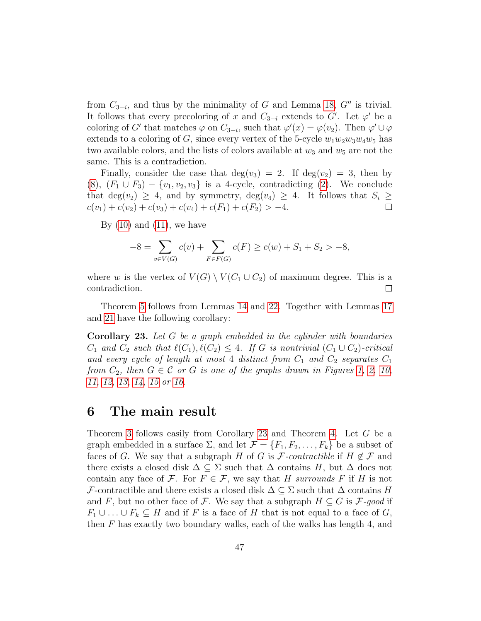from  $C_{3-i}$ , and thus by the minimality of G and Lemma [18,](#page-32-1)  $G''$  is trivial. It follows that every precoloring of x and  $C_{3-i}$  extends to  $G'$ . Let  $\varphi'$  be a coloring of G' that matches  $\varphi$  on  $C_{3-i}$ , such that  $\varphi'(x) = \varphi(v_2)$ . Then  $\varphi' \cup \varphi$ extends to a coloring of G, since every vertex of the 5-cycle  $w_1w_2w_3w_4w_5$  has two available colors, and the lists of colors available at  $w_3$  and  $w_5$  are not the same. This is a contradiction.

Finally, consider the case that  $deg(v_3) = 2$ . If  $deg(v_2) = 3$ , then by  $(8)$ ,  $(F_1 \cup F_3) - \{v_1, v_2, v_3\}$  is a 4-cycle, contradicting  $(2)$ . We conclude that deg(v<sub>2</sub>)  $\geq$  4, and by symmetry, deg(v<sub>4</sub>)  $\geq$  4. It follows that  $S_i \geq$  $c(v_1) + c(v_2) + c(v_3) + c(v_4) + c(F_1) + c(F_2) > -4.$  $\Box$ 

By  $(10)$  and  $(11)$ , we have

$$
-8 = \sum_{v \in V(G)} c(v) + \sum_{F \in F(G)} c(F) \ge c(w) + S_1 + S_2 > -8,
$$

where w is the vertex of  $V(G) \setminus V(C_1 \cup C_2)$  of maximum degree. This is a contradiction.  $\Box$ 

Theorem [5](#page-4-0) follows from Lemmas [14](#page-17-1) and [22.](#page-35-0) Together with Lemmas [17](#page-29-0) and [21](#page-34-1) have the following corollary:

<span id="page-46-1"></span>Corollary 23. Let G be a graph embedded in the cylinder with boundaries  $C_1$  and  $C_2$  such that  $\ell(C_1), \ell(C_2) \leq 4$ . If G is nontrivial  $(C_1 \cup C_2)$ -critical and every cycle of length at most 4 distinct from  $C_1$  and  $C_2$  separates  $C_1$ from  $C_2$ , then  $G \in \mathcal{C}$  or  $G$  is one of the graphs drawn in Figures [1,](#page-5-0) [2,](#page-6-0) [10,](#page-21-0) [11,](#page-22-0) [12,](#page-23-0) [13,](#page-25-0) [14,](#page-26-0) [15](#page-27-0) or [16.](#page-30-0)

### <span id="page-46-0"></span>6 The main result

Theorem [3](#page-2-0) follows easily from Corollary [23](#page-46-1) and Theorem [4.](#page-4-1) Let G be a graph embedded in a surface  $\Sigma$ , and let  $\mathcal{F} = \{F_1, F_2, \ldots, F_k\}$  be a subset of faces of G. We say that a subgraph H of G is F-contractible if  $H \notin \mathcal{F}$  and there exists a closed disk  $\Delta \subseteq \Sigma$  such that  $\Delta$  contains H, but  $\Delta$  does not contain any face of F. For  $F \in \mathcal{F}$ , we say that H surrounds F if H is not F-contractible and there exists a closed disk  $\Delta \subseteq \Sigma$  such that  $\Delta$  contains H and F, but no other face of F. We say that a subgraph  $H \subseteq G$  is  $\mathcal{F}\text{-}good$  if  $F_1 \cup \ldots \cup F_k \subseteq H$  and if F is a face of H that is not equal to a face of G, then F has exactly two boundary walks, each of the walks has length 4, and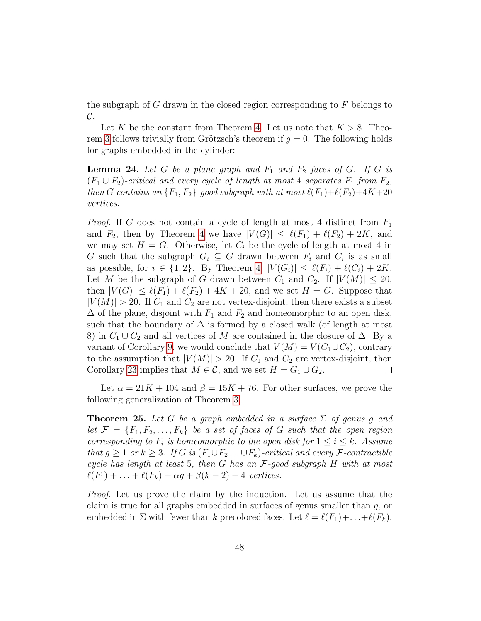the subgraph of G drawn in the closed region corresponding to  $F$  belongs to  $\mathcal{C}.$ 

Let K be the constant from Theorem [4.](#page-4-1) Let us note that  $K > 8$ . Theo-rem [3](#page-2-0) follows trivially from Grötzsch's theorem if  $q = 0$ . The following holds for graphs embedded in the cylinder:

<span id="page-47-1"></span>**Lemma 24.** Let G be a plane graph and  $F_1$  and  $F_2$  faces of G. If G is  $(F_1 \cup F_2)$ -critical and every cycle of length at most 4 separates  $F_1$  from  $F_2$ , then G contains an  $\{F_1, F_2\}$ -good subgraph with at most  $\ell(F_1)+\ell(F_2)+4K+20$ vertices.

*Proof.* If G does not contain a cycle of length at most 4 distinct from  $F_1$ and  $F_2$ , then by Theorem [4](#page-4-1) we have  $|V(G)| \leq \ell(F_1) + \ell(F_2) + 2K$ , and we may set  $H = G$ . Otherwise, let  $C_i$  be the cycle of length at most 4 in G such that the subgraph  $G_i \subseteq G$  drawn between  $F_i$  and  $C_i$  is as small as possible, for  $i \in \{1,2\}$ . By Theorem [4,](#page-4-1)  $|V(G_i)| \leq \ell(F_i) + \ell(C_i) + 2K$ . Let M be the subgraph of G drawn between  $C_1$  and  $C_2$ . If  $|V(M)| \leq 20$ , then  $|V(G)| \leq \ell(F_1) + \ell(F_2) + 4K + 20$ , and we set  $H = G$ . Suppose that  $|V(M)| > 20$ . If  $C_1$  and  $C_2$  are not vertex-disjoint, then there exists a subset  $\Delta$  of the plane, disjoint with  $F_1$  and  $F_2$  and homeomorphic to an open disk, such that the boundary of  $\Delta$  is formed by a closed walk (of length at most 8) in  $C_1 \cup C_2$  and all vertices of M are contained in the closure of  $\Delta$ . By a variant of Corollary [9,](#page-11-3) we would conclude that  $V(M) = V(C_1 \cup C_2)$ , contrary to the assumption that  $|V(M)| > 20$ . If  $C_1$  and  $C_2$  are vertex-disjoint, then Corollary [23](#page-46-1) implies that  $M \in \mathcal{C}$ , and we set  $H = G_1 \cup G_2$ .  $\Box$ 

Let  $\alpha = 21K + 104$  and  $\beta = 15K + 76$ . For other surfaces, we prove the following generalization of Theorem [3:](#page-2-0)

<span id="page-47-0"></span>**Theorem 25.** Let G be a graph embedded in a surface  $\Sigma$  of genus g and let  $\mathcal{F} = \{F_1, F_2, \ldots, F_k\}$  be a set of faces of G such that the open region corresponding to  $F_i$  is homeomorphic to the open disk for  $1 \le i \le k$ . Assume that  $g \geq 1$  or  $k \geq 3$ . If G is  $(F_1 \cup F_2 \dots \cup F_k)$ -critical and every F-contractible cycle has length at least 5, then G has an F-good subgraph H with at most  $\ell(F_1) + \ldots + \ell(F_k) + \alpha q + \beta(k-2) - 4$  vertices.

Proof. Let us prove the claim by the induction. Let us assume that the claim is true for all graphs embedded in surfaces of genus smaller than g, or embedded in  $\Sigma$  with fewer than k precolored faces. Let  $\ell = \ell(F_1)+ \ldots + \ell(F_k)$ .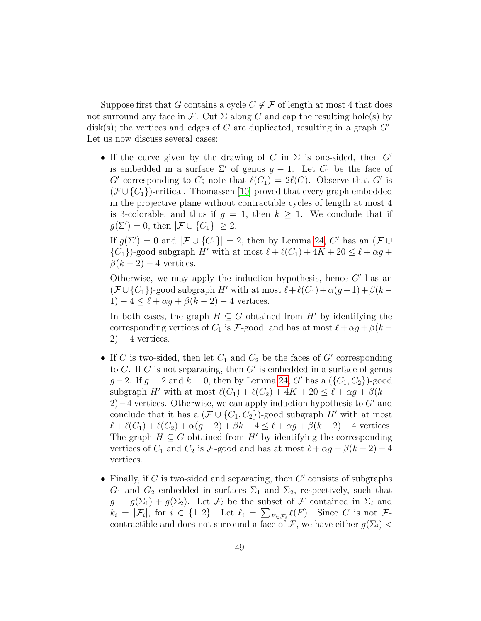Suppose first that G contains a cycle  $C \notin \mathcal{F}$  of length at most 4 that does not surround any face in F. Cut  $\Sigma$  along C and cap the resulting hole(s) by disk(s); the vertices and edges of C are duplicated, resulting in a graph  $G'$ . Let us now discuss several cases:

• If the curve given by the drawing of C in  $\Sigma$  is one-sided, then G' is embedded in a surface  $\Sigma'$  of genus  $g - 1$ . Let  $C_1$  be the face of G' corresponding to C; note that  $\ell(C_1) = 2\ell(C)$ . Observe that G' is  $(\mathcal{F} \cup \{C_1\})$ -critical. Thomassen [\[10\]](#page-51-0) proved that every graph embedded in the projective plane without contractible cycles of length at most 4 is 3-colorable, and thus if  $g = 1$ , then  $k \geq 1$ . We conclude that if  $g(\Sigma') = 0$ , then  $|\mathcal{F} \cup \{C_1\}| \geq 2$ .

If  $g(\Sigma') = 0$  and  $|\mathcal{F} \cup \{C_1\}| = 2$ , then by Lemma [24,](#page-47-1) G' has an  $(\mathcal{F} \cup$  ${C_1}$ )-good subgraph H' with at most  $\ell + \ell(C_1) + 4K + 20 \leq \ell + \alpha g +$  $\beta(k-2)-4$  vertices.

Otherwise, we may apply the induction hypothesis, hence  $G'$  has an  $(\mathcal{F} \cup \{C_1\})$ -good subgraph H' with at most  $\ell+\ell(C_1)+\alpha(g-1)+\beta(k-1)$  $1) - 4 \leq \ell + \alpha g + \beta(k - 2) - 4$  vertices.

In both cases, the graph  $H \subseteq G$  obtained from H<sup> $\prime$ </sup> by identifying the corresponding vertices of  $C_1$  is F-good, and has at most  $\ell + \alpha g + \beta(k - \ell)$  $2) - 4$  vertices.

- If C is two-sided, then let  $C_1$  and  $C_2$  be the faces of G' corresponding to C. If C is not separating, then  $G'$  is embedded in a surface of genus  $g-2$ . If  $g = 2$  and  $k = 0$ , then by Lemma [24,](#page-47-1) G' has a  $({C_1, C_2})$ -good subgraph H' with at most  $\ell(C_1) + \ell(C_2) + 4K + 20 \leq \ell + \alpha g + \beta(k -$ 2)−4 vertices. Otherwise, we can apply induction hypothesis to  $G'$  and conclude that it has a  $(\mathcal{F} \cup \{C_1, C_2\})$ -good subgraph H' with at most  $\ell + \ell(C_1) + \ell(C_2) + \alpha(g - 2) + \beta k - 4 \leq \ell + \alpha g + \beta(k - 2) - 4$  vertices. The graph  $H \subseteq G$  obtained from H' by identifying the corresponding vertices of  $C_1$  and  $C_2$  is F-good and has at most  $\ell + \alpha g + \beta(k - 2) - 4$ vertices.
- Finally, if C is two-sided and separating, then  $G'$  consists of subgraphs  $G_1$  and  $G_2$  embedded in surfaces  $\Sigma_1$  and  $\Sigma_2$ , respectively, such that  $g = g(\Sigma_1) + g(\Sigma_2)$ . Let  $\mathcal{F}_i$  be the subset of  $\mathcal F$  contained in  $\Sigma_i$  and  $k_i = |\mathcal{F}_i|$ , for  $i \in \{1, 2\}$ . Let  $\ell_i = \sum_{F \in \mathcal{F}_i} \ell(F)$ . Since C is not  $\mathcal{F}$ contractible and does not surround a face of F, we have either  $g(\Sigma_i)$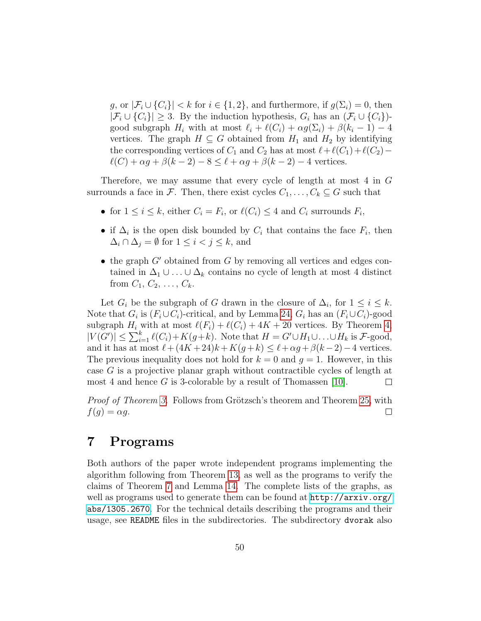g, or  $|\mathcal{F}_i \cup \{C_i\}| < k$  for  $i \in \{1,2\}$ , and furthermore, if  $g(\Sigma_i) = 0$ , then  $|\mathcal{F}_i \cup \{C_i\}| \geq 3$ . By the induction hypothesis,  $G_i$  has an  $(\mathcal{F}_i \cup \{C_i\})$ good subgraph  $H_i$  with at most  $\ell_i + \ell(C_i) + \alpha g(\Sigma_i) + \beta(k_i - 1) - 4$ vertices. The graph  $H \subseteq G$  obtained from  $H_1$  and  $H_2$  by identifying the corresponding vertices of  $C_1$  and  $C_2$  has at most  $\ell+\ell(C_1)+\ell(C_2) \ell(C) + \alpha g + \beta(k - 2) - 8 \leq \ell + \alpha g + \beta(k - 2) - 4$  vertices.

Therefore, we may assume that every cycle of length at most 4 in G surrounds a face in F. Then, there exist cycles  $C_1, \ldots, C_k \subseteq G$  such that

- for  $1 \leq i \leq k$ , either  $C_i = F_i$ , or  $\ell(C_i) \leq 4$  and  $C_i$  surrounds  $F_i$ ,
- if  $\Delta_i$  is the open disk bounded by  $C_i$  that contains the face  $F_i$ , then  $\Delta_i \cap \Delta_j = \emptyset$  for  $1 \leq i < j \leq k$ , and
- the graph  $G'$  obtained from  $G$  by removing all vertices and edges contained in  $\Delta_1 \cup \ldots \cup \Delta_k$  contains no cycle of length at most 4 distinct from  $C_1, C_2, \ldots, C_k$ .

Let  $G_i$  be the subgraph of G drawn in the closure of  $\Delta_i$ , for  $1 \leq i \leq k$ . Note that  $G_i$  is  $(F_i \cup C_i)$ -critical, and by Lemma [24,](#page-47-1)  $G_i$  has an  $(F_i \cup C_i)$ -good subgraph  $H_i$  with at most  $\ell(F_i) + \ell(C_i) + 4K + 20$  vertices. By Theorem [4,](#page-4-1)  $|V(G')| \leq \sum_{i=1}^{k} \ell(C_i) + K(g+k)$ . Note that  $H = G' \cup H_1 \cup \ldots \cup H_k$  is  $\mathcal{F}\text{-good}$ , and it has at most  $\ell + (4K + 24)k + K(g + k) \leq \ell + \alpha g + \beta(k - 2) - 4$  vertices. The previous inequality does not hold for  $k = 0$  and  $q = 1$ . However, in this case G is a projective planar graph without contractible cycles of length at most 4 and hence G is 3-colorable by a result of Thomassen [\[10\]](#page-51-0).  $\Box$ 

*Proof of Theorem [3.](#page-2-0)* Follows from Grötzsch's theorem and Theorem [25,](#page-47-0) with  $f(q) = \alpha q.$  $\Box$ 

## <span id="page-49-0"></span>7 Programs

Both authors of the paper wrote independent programs implementing the algorithm following from Theorem [13,](#page-15-0) as well as the programs to verify the claims of Theorem [7](#page-9-1) and Lemma [14.](#page-17-1) The complete lists of the graphs, as well as programs used to generate them can be found at  $http://arxiv.org/$ [abs/1305.2670](http://arxiv.org/abs/1305.2670). For the technical details describing the programs and their usage, see README files in the subdirectories. The subdirectory dvorak also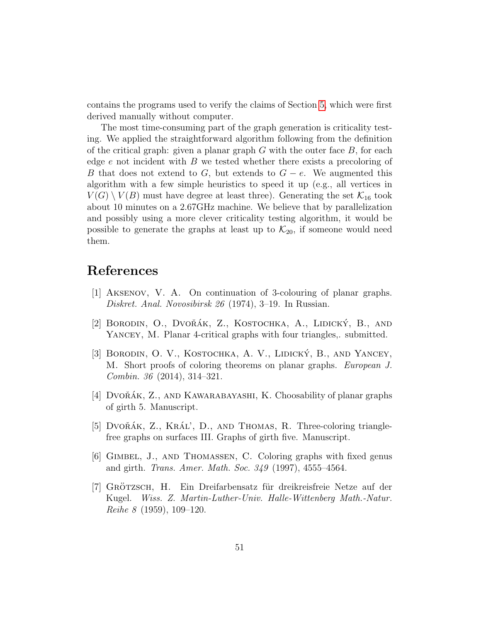contains the programs used to verify the claims of Section [5,](#page-17-0) which were first derived manually without computer.

The most time-consuming part of the graph generation is criticality testing. We applied the straightforward algorithm following from the definition of the critical graph: given a planar graph  $G$  with the outer face  $B$ , for each edge  $e$  not incident with  $B$  we tested whether there exists a precoloring of B that does not extend to G, but extends to  $G - e$ . We augmented this algorithm with a few simple heuristics to speed it up (e.g., all vertices in  $V(G) \setminus V(B)$  must have degree at least three). Generating the set  $\mathcal{K}_{16}$  took about 10 minutes on a 2.67GHz machine. We believe that by parallelization and possibly using a more clever criticality testing algorithm, it would be possible to generate the graphs at least up to  $\mathcal{K}_{20}$ , if someone would need them.

## References

- <span id="page-50-4"></span>[1] Aksenov, V. A. On continuation of 3-colouring of planar graphs. Diskret. Anal. Novosibirsk 26 (1974), 3–19. In Russian.
- <span id="page-50-6"></span>[2] BORODIN, O., DVOŘÁK, Z., KOSTOCHKA, A., LIDICKÝ, B., AND YANCEY, M. Planar 4-critical graphs with four triangles, submitted.
- <span id="page-50-5"></span>[3] BORODIN, O. V., KOSTOCHKA, A. V., LIDICKÝ, B., AND YANCEY, M. Short proofs of coloring theorems on planar graphs. European J. Combin. 36 (2014), 314–321.
- <span id="page-50-3"></span>[4] DVO $\check{R}$ AK, Z., AND KAWARABAYASHI, K. Choosability of planar graphs of girth 5. Manuscript.
- <span id="page-50-2"></span>[5] DVOŘÁK, Z., KRÁL', D., AND THOMAS, R. Three-coloring trianglefree graphs on surfaces III. Graphs of girth five. Manuscript.
- <span id="page-50-1"></span>[6] Gimbel, J., and Thomassen, C. Coloring graphs with fixed genus and girth. Trans. Amer. Math. Soc. 349 (1997), 4555–4564.
- <span id="page-50-0"></span>[7] GRÖTZSCH, H. Ein Dreifarbensatz für dreikreisfreie Netze auf der Kugel. Wiss. Z. Martin-Luther-Univ. Halle-Wittenberg Math.-Natur. Reihe 8 (1959), 109–120.